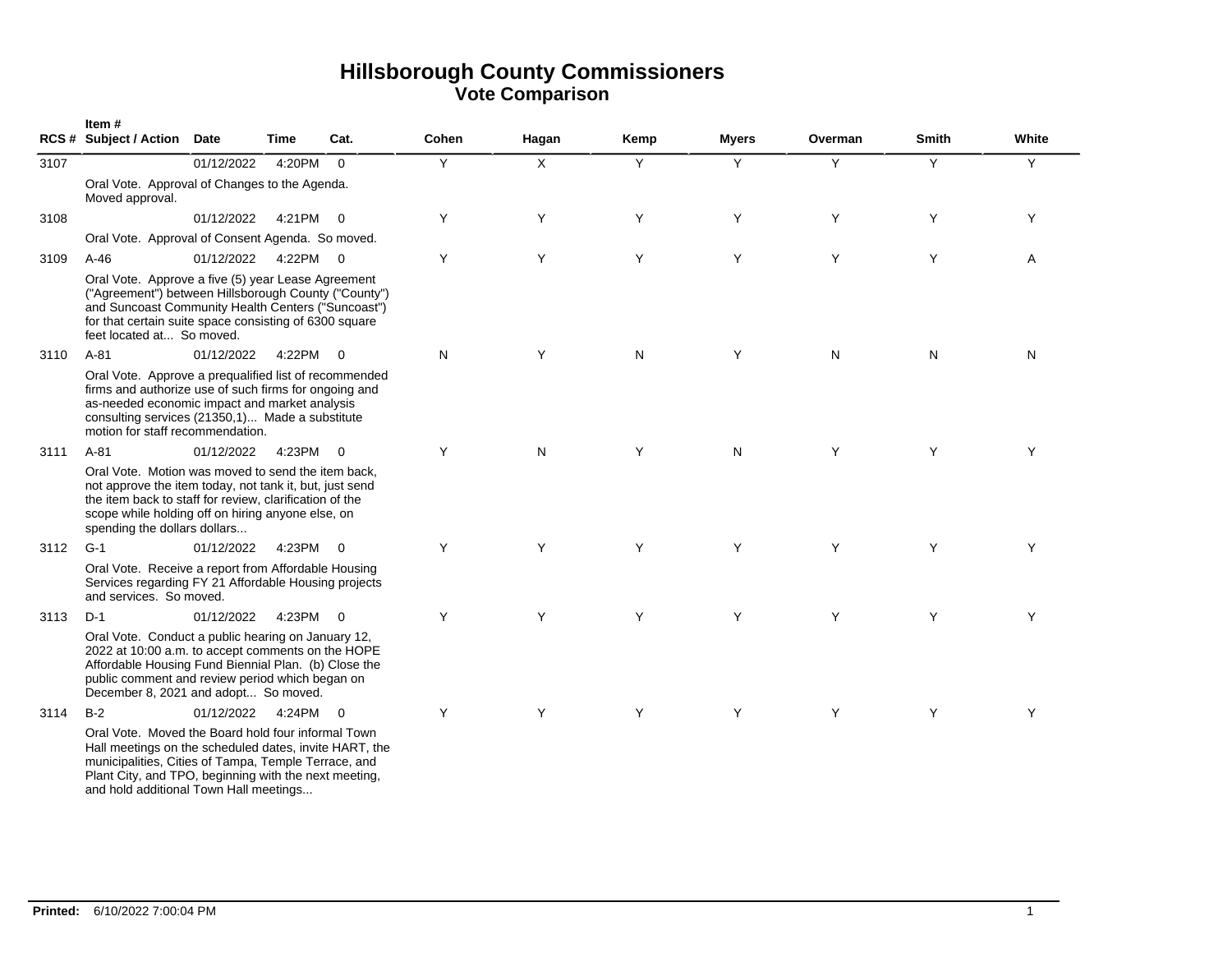|      | Item#<br>RCS # Subject / Action Date                                                                                                                                                                                                                          |            | Time     | Cat.           | Cohen | Hagan | Kemp | <b>Myers</b> | Overman | <b>Smith</b> | White |
|------|---------------------------------------------------------------------------------------------------------------------------------------------------------------------------------------------------------------------------------------------------------------|------------|----------|----------------|-------|-------|------|--------------|---------|--------------|-------|
| 3107 |                                                                                                                                                                                                                                                               | 01/12/2022 | 4:20PM   | $\Omega$       | Y     | X     | Y    | Y            | Y       | Y            | Y     |
|      | Oral Vote. Approval of Changes to the Agenda.<br>Moved approval.                                                                                                                                                                                              |            |          |                |       |       |      |              |         |              |       |
| 3108 |                                                                                                                                                                                                                                                               | 01/12/2022 | 4:21PM 0 |                | Y     | Y     | Y    | Y            | Y       | Y            | Y     |
|      | Oral Vote. Approval of Consent Agenda. So moved.                                                                                                                                                                                                              |            |          |                |       |       |      |              |         |              |       |
| 3109 | $A-46$                                                                                                                                                                                                                                                        | 01/12/2022 | 4:22PM 0 |                | Y     | Y     | Y    | Y            | Y       | Y            | A     |
|      | Oral Vote. Approve a five (5) year Lease Agreement<br>("Agreement") between Hillsborough County ("County")<br>and Suncoast Community Health Centers ("Suncoast")<br>for that certain suite space consisting of 6300 square<br>feet located at So moved.       |            |          |                |       |       |      |              |         |              |       |
| 3110 | $A-81$                                                                                                                                                                                                                                                        | 01/12/2022 | 4:22PM 0 |                | N     | Y     | N    | Y            | N       | N            | N     |
|      | Oral Vote. Approve a prequalified list of recommended<br>firms and authorize use of such firms for ongoing and<br>as-needed economic impact and market analysis<br>consulting services (21350,1) Made a substitute<br>motion for staff recommendation.        |            |          |                |       |       |      |              |         |              |       |
| 3111 | $A-81$                                                                                                                                                                                                                                                        | 01/12/2022 | 4:23PM   | $\overline{0}$ | Υ     | N     | Y    | N            | Y       | Y            | Υ     |
|      | Oral Vote. Motion was moved to send the item back.<br>not approve the item today, not tank it, but, just send<br>the item back to staff for review, clarification of the<br>scope while holding off on hiring anyone else, on<br>spending the dollars dollars |            |          |                |       |       |      |              |         |              |       |
| 3112 | $G-1$                                                                                                                                                                                                                                                         | 01/12/2022 | 4:23PM 0 |                | Y     | Υ     | Y    | Y            | Y       | Y            | Υ     |
|      | Oral Vote. Receive a report from Affordable Housing<br>Services regarding FY 21 Affordable Housing projects<br>and services. So moved.                                                                                                                        |            |          |                |       |       |      |              |         |              |       |
| 3113 | $D-1$                                                                                                                                                                                                                                                         | 01/12/2022 | 4:23PM 0 |                | Y     | Υ     | Y    | Y            | Y       | Y            | Υ     |
|      | Oral Vote. Conduct a public hearing on January 12,<br>2022 at 10:00 a.m. to accept comments on the HOPE<br>Affordable Housing Fund Biennial Plan. (b) Close the<br>public comment and review period which began on<br>December 8, 2021 and adopt So moved.    |            |          |                |       |       |      |              |         |              |       |
| 3114 | $B-2$                                                                                                                                                                                                                                                         | 01/12/2022 | 4:24PM   | $\Omega$       | Y     | Y     | Y    | Y            | Y       | Y            | Υ     |
|      | Oral Vote. Moved the Board hold four informal Town<br>Hall meetings on the scheduled dates, invite HART, the<br>municipalities, Cities of Tampa, Temple Terrace, and                                                                                          |            |          |                |       |       |      |              |         |              |       |

Plant City, and TPO, beginning with the next meeting,

and hold additional Town Hall meetings...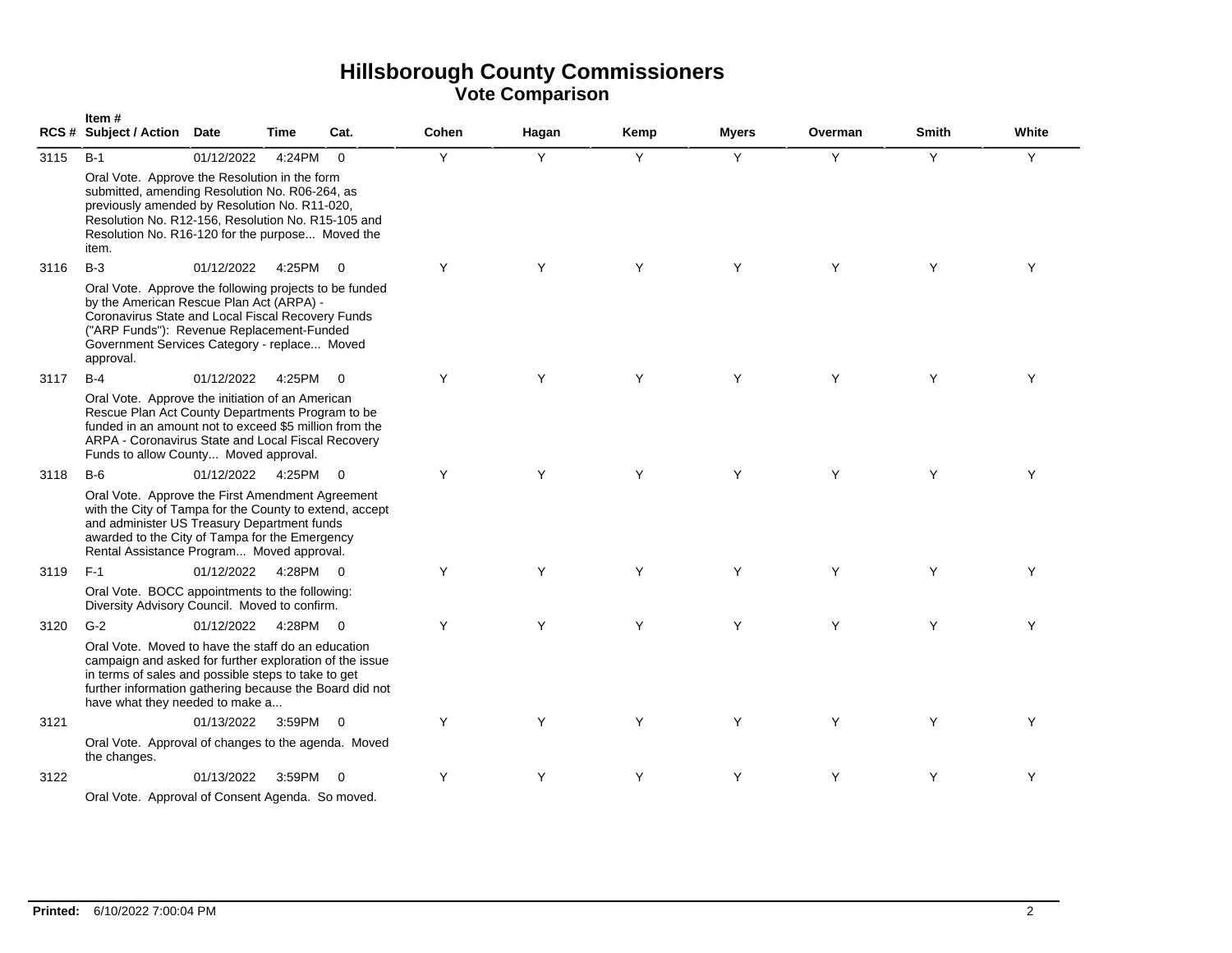|      | Item#<br><b>RCS # Subject / Action</b>                                                                                                                                                                                                                              | Date       | Time     | Cat.           | Cohen | Hagan | Kemp | <b>Myers</b> | Overman | <b>Smith</b> | White |
|------|---------------------------------------------------------------------------------------------------------------------------------------------------------------------------------------------------------------------------------------------------------------------|------------|----------|----------------|-------|-------|------|--------------|---------|--------------|-------|
| 3115 | $B-1$                                                                                                                                                                                                                                                               | 01/12/2022 | 4:24PM   | $\Omega$       | Y     | Y     | Y    | Y            | Y       | Y            | Y     |
|      | Oral Vote. Approve the Resolution in the form<br>submitted, amending Resolution No. R06-264, as<br>previously amended by Resolution No. R11-020,<br>Resolution No. R12-156, Resolution No. R15-105 and<br>Resolution No. R16-120 for the purpose Moved the<br>item. |            |          |                |       |       |      |              |         |              |       |
| 3116 | $B-3$                                                                                                                                                                                                                                                               | 01/12/2022 | 4:25PM   | $\overline{0}$ | Y     | Y     | Y    | Y            | Y       | Y            | Y     |
|      | Oral Vote. Approve the following projects to be funded<br>by the American Rescue Plan Act (ARPA) -<br>Coronavirus State and Local Fiscal Recovery Funds<br>("ARP Funds"): Revenue Replacement-Funded<br>Government Services Category - replace Moved<br>approval.   |            |          |                |       |       |      |              |         |              |       |
| 3117 | $B-4$                                                                                                                                                                                                                                                               | 01/12/2022 | 4:25PM   | $\overline{0}$ | Y     | Y     | Y    | Y            | Y       | Y            | Y     |
|      | Oral Vote. Approve the initiation of an American<br>Rescue Plan Act County Departments Program to be<br>funded in an amount not to exceed \$5 million from the<br>ARPA - Coronavirus State and Local Fiscal Recovery<br>Funds to allow County Moved approval.       |            |          |                |       |       |      |              |         |              |       |
| 3118 | $B-6$                                                                                                                                                                                                                                                               | 01/12/2022 | 4:25PM   | $\mathbf 0$    | Y     | Y     | Y    | Y            | Y       | Y            | Y     |
|      | Oral Vote. Approve the First Amendment Agreement<br>with the City of Tampa for the County to extend, accept<br>and administer US Treasury Department funds<br>awarded to the City of Tampa for the Emergency<br>Rental Assistance Program Moved approval.           |            |          |                |       |       |      |              |         |              |       |
| 3119 | $F-1$                                                                                                                                                                                                                                                               | 01/12/2022 | 4:28PM 0 |                | Y     | Y     | Y    | Y            | Y       | Y            | Y     |
|      | Oral Vote. BOCC appointments to the following:<br>Diversity Advisory Council. Moved to confirm.                                                                                                                                                                     |            |          |                |       |       |      |              |         |              |       |
| 3120 | $G-2$                                                                                                                                                                                                                                                               | 01/12/2022 | 4:28PM 0 |                | Y     | Y     | Y    | Y            | Y       | Y            | Y     |
|      | Oral Vote. Moved to have the staff do an education<br>campaign and asked for further exploration of the issue<br>in terms of sales and possible steps to take to get<br>further information gathering because the Board did not<br>have what they needed to make a  |            |          |                |       |       |      |              |         |              |       |
| 3121 |                                                                                                                                                                                                                                                                     | 01/13/2022 | 3:59PM   | $\bigcirc$     | Y     | Y     | Y    | Y            | Y       | Y            | Y     |
|      | Oral Vote. Approval of changes to the agenda. Moved<br>the changes.                                                                                                                                                                                                 |            |          |                |       |       |      |              |         |              |       |
| 3122 |                                                                                                                                                                                                                                                                     | 01/13/2022 | 3:59PM   | $\Omega$       | Y     | Y     | Y    | Y            | Y       | Y            | Y     |
|      | Oral Vote. Approval of Consent Agenda. So moved.                                                                                                                                                                                                                    |            |          |                |       |       |      |              |         |              |       |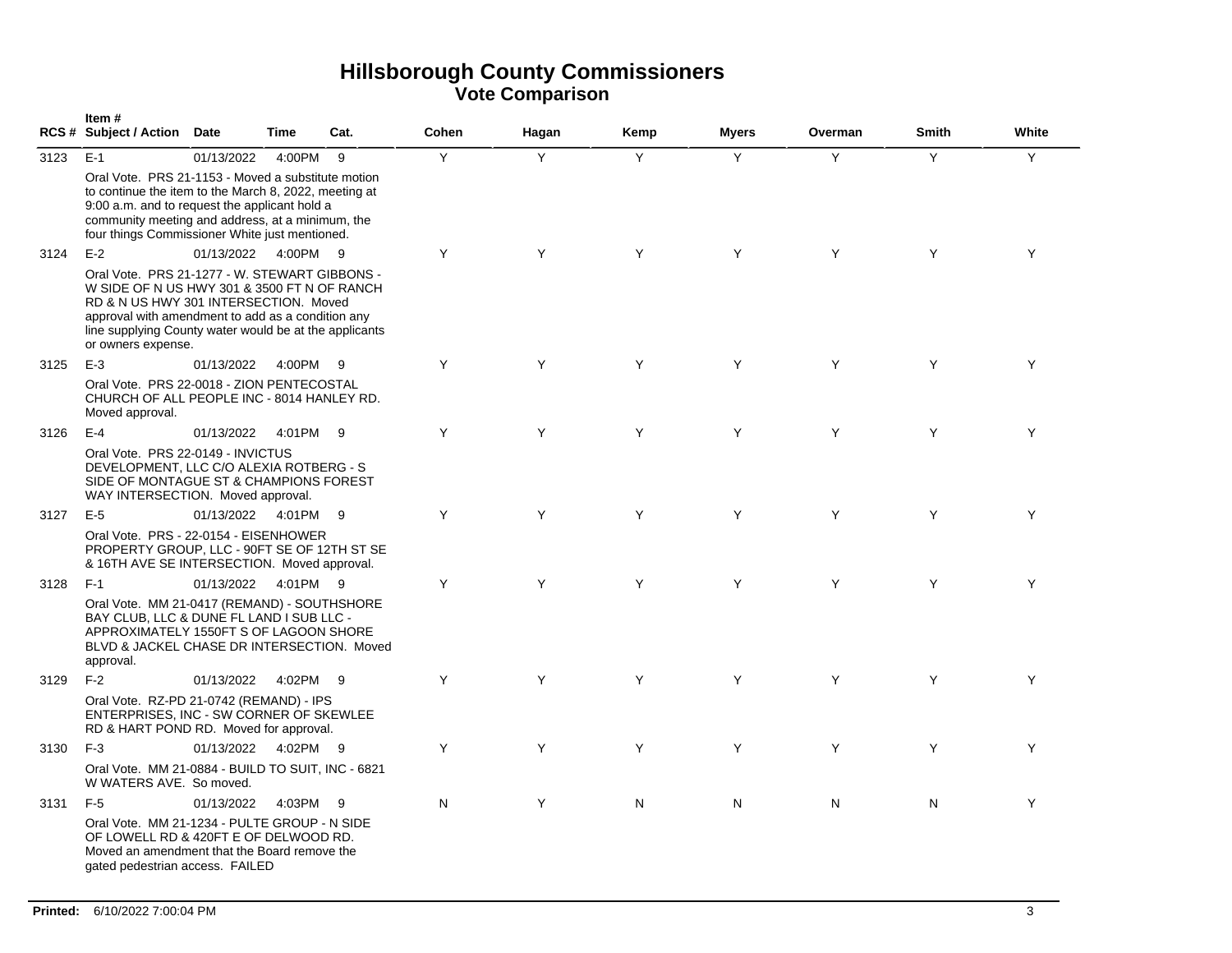|      | Item#<br>RCS # Subject / Action Date                                                                                                                                                                                                                                       |            | <b>Time</b> | Cat. | <b>Cohen</b> | Hagan | Kemp | <b>Myers</b> | Overman | <b>Smith</b> | White |
|------|----------------------------------------------------------------------------------------------------------------------------------------------------------------------------------------------------------------------------------------------------------------------------|------------|-------------|------|--------------|-------|------|--------------|---------|--------------|-------|
| 3123 | $E-1$                                                                                                                                                                                                                                                                      | 01/13/2022 | 4:00PM      | 9    | Y            | Y     | Y    | Y            | Y       | Y            | Y     |
|      | Oral Vote. PRS 21-1153 - Moved a substitute motion<br>to continue the item to the March 8, 2022, meeting at<br>9:00 a.m. and to request the applicant hold a<br>community meeting and address, at a minimum, the<br>four things Commissioner White just mentioned.         |            |             |      |              |       |      |              |         |              |       |
| 3124 | $E-2$                                                                                                                                                                                                                                                                      | 01/13/2022 | 4:00PM 9    |      | Y            | Y     | Y    | Y            | Y       | Y            | Y     |
|      | Oral Vote, PRS 21-1277 - W. STEWART GIBBONS -<br>W SIDE OF N US HWY 301 & 3500 FT N OF RANCH<br>RD & N US HWY 301 INTERSECTION. Moved<br>approval with amendment to add as a condition any<br>line supplying County water would be at the applicants<br>or owners expense. |            |             |      |              |       |      |              |         |              |       |
| 3125 | $E-3$                                                                                                                                                                                                                                                                      | 01/13/2022 | 4:00PM 9    |      | Y            | Y     | Y    | Y            | Y       | Y            | Y     |
|      | Oral Vote. PRS 22-0018 - ZION PENTECOSTAL<br>CHURCH OF ALL PEOPLE INC - 8014 HANLEY RD.<br>Moved approval.                                                                                                                                                                 |            |             |      |              |       |      |              |         |              |       |
| 3126 | $E-4$                                                                                                                                                                                                                                                                      | 01/13/2022 | 4:01PM 9    |      | Y            | Y     | Y    | Y            | Y       | Y            | Y     |
|      | Oral Vote. PRS 22-0149 - INVICTUS<br>DEVELOPMENT, LLC C/O ALEXIA ROTBERG - S<br>SIDE OF MONTAGUE ST & CHAMPIONS FOREST<br>WAY INTERSECTION. Moved approval.                                                                                                                |            |             |      |              |       |      |              |         |              |       |
| 3127 | $E-5$                                                                                                                                                                                                                                                                      | 01/13/2022 | 4:01PM 9    |      | Y            | Y     | Y    | Y            | Y       | Y            | Y     |
|      | Oral Vote. PRS - 22-0154 - EISENHOWER<br>PROPERTY GROUP, LLC - 90FT SE OF 12TH ST SE<br>& 16TH AVE SE INTERSECTION. Moved approval.                                                                                                                                        |            |             |      |              |       |      |              |         |              |       |
| 3128 | $F-1$                                                                                                                                                                                                                                                                      | 01/13/2022 | 4:01PM 9    |      | Y            | Y     | Y    | Y            | Y       | Y            | Y     |
|      | Oral Vote. MM 21-0417 (REMAND) - SOUTHSHORE<br>BAY CLUB, LLC & DUNE FL LAND I SUB LLC -<br>APPROXIMATELY 1550FT S OF LAGOON SHORE<br>BLVD & JACKEL CHASE DR INTERSECTION. Moved<br>approval.                                                                               |            |             |      |              |       |      |              |         |              |       |
| 3129 | $F-2$                                                                                                                                                                                                                                                                      | 01/13/2022 | 4:02PM      | - 9  | Y            | Y     | Y    | Y            | Y       | Y            | Y     |
|      | Oral Vote. RZ-PD 21-0742 (REMAND) - IPS<br>ENTERPRISES, INC - SW CORNER OF SKEWLEE<br>RD & HART POND RD. Moved for approval.                                                                                                                                               |            |             |      |              |       |      |              |         |              |       |
| 3130 | $F-3$                                                                                                                                                                                                                                                                      | 01/13/2022 | 4:02PM 9    |      | Y            | Y     | Y    | Y            | Y       | Y            | Y     |
|      | Oral Vote. MM 21-0884 - BUILD TO SUIT, INC - 6821<br>W WATERS AVE. So moved.                                                                                                                                                                                               |            |             |      |              |       |      |              |         |              |       |
| 3131 | $F-5$                                                                                                                                                                                                                                                                      | 01/13/2022 | 4:03PM      | - 9  | N            | Y     | N    | N            | N       | N            | Y     |
|      | Oral Vote. MM 21-1234 - PULTE GROUP - N SIDE<br>OF LOWELL RD & 420FT E OF DELWOOD RD.<br>Moved an amendment that the Board remove the<br>gated pedestrian access. FAILED                                                                                                   |            |             |      |              |       |      |              |         |              |       |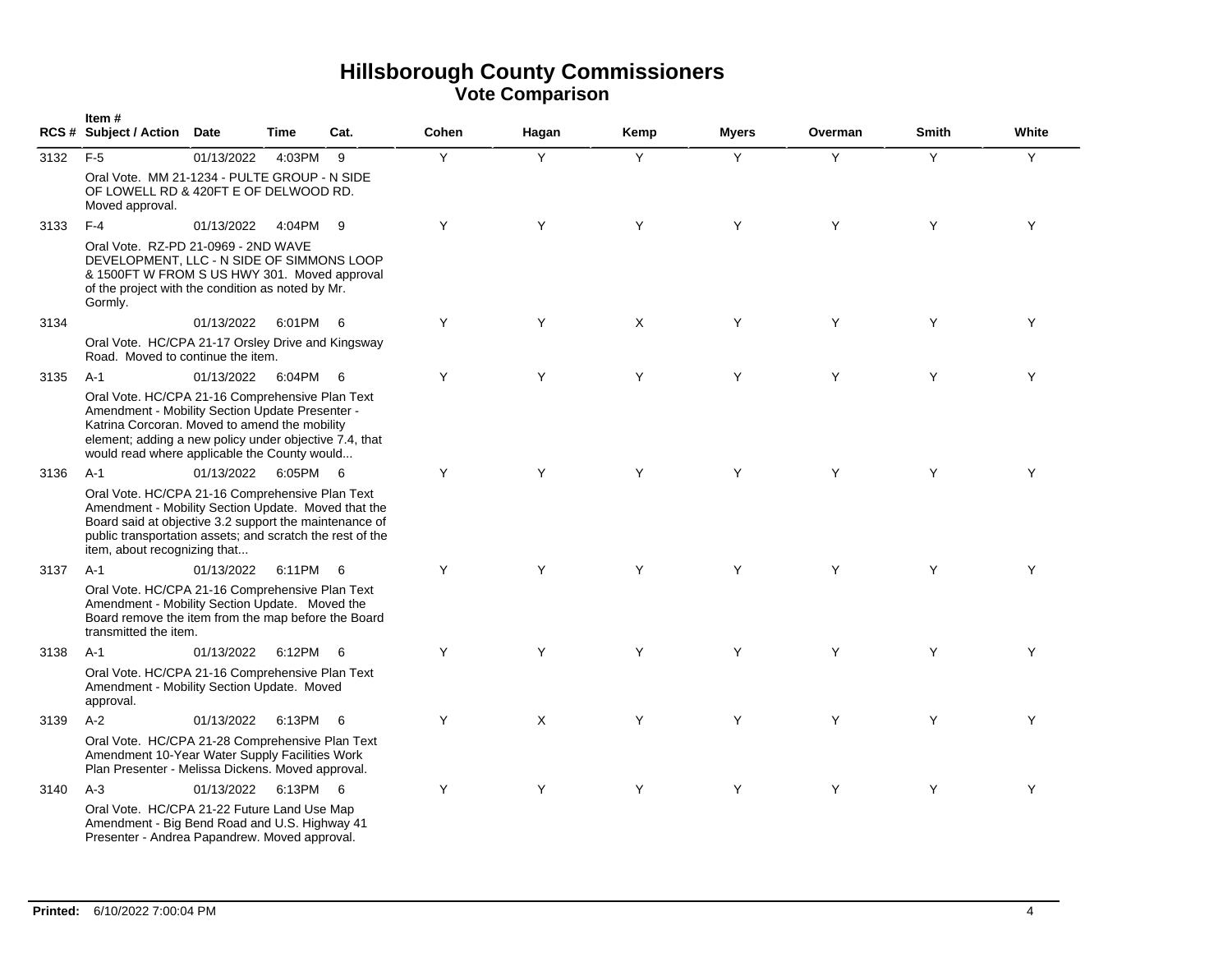|      | Item#<br>RCS # Subject / Action Date                                                                                                                                                                                                                          |            | <b>Time</b> | Cat. | Cohen | Hagan | Kemp | <b>Myers</b> | Overman | <b>Smith</b> | White |
|------|---------------------------------------------------------------------------------------------------------------------------------------------------------------------------------------------------------------------------------------------------------------|------------|-------------|------|-------|-------|------|--------------|---------|--------------|-------|
| 3132 | $F-5$                                                                                                                                                                                                                                                         | 01/13/2022 | 4:03PM      | - 9  | Y     | Y     | Y    | Y            | Y       | Y            | Y     |
|      | Oral Vote. MM 21-1234 - PULTE GROUP - N SIDE<br>OF LOWELL RD & 420FT E OF DELWOOD RD.<br>Moved approval.                                                                                                                                                      |            |             |      |       |       |      |              |         |              |       |
| 3133 | $F-4$                                                                                                                                                                                                                                                         | 01/13/2022 | 4:04PM      | - 9  | Y     | Y     | Y    | Y            | Y       | Y            | Y     |
|      | Oral Vote. RZ-PD 21-0969 - 2ND WAVE<br>DEVELOPMENT, LLC - N SIDE OF SIMMONS LOOP<br>& 1500FT W FROM S US HWY 301. Moved approval<br>of the project with the condition as noted by Mr.<br>Gormly.                                                              |            |             |      |       |       |      |              |         |              |       |
| 3134 |                                                                                                                                                                                                                                                               | 01/13/2022 | 6:01PM 6    |      | Y     | Y     | X    | Y            | Y       | Y            | Y     |
|      | Oral Vote. HC/CPA 21-17 Orsley Drive and Kingsway<br>Road. Moved to continue the item.                                                                                                                                                                        |            |             |      |       |       |      |              |         |              |       |
| 3135 | $A-1$                                                                                                                                                                                                                                                         | 01/13/2022 | 6:04PM      | - 6  | Y     | Y     | Y    | Y            | Y       | Y            | Y     |
|      | Oral Vote. HC/CPA 21-16 Comprehensive Plan Text<br>Amendment - Mobility Section Update Presenter -<br>Katrina Corcoran. Moved to amend the mobility<br>element; adding a new policy under objective 7.4, that<br>would read where applicable the County would |            |             |      |       |       |      |              |         |              |       |
| 3136 | $A-1$                                                                                                                                                                                                                                                         | 01/13/2022 | 6:05PM 6    |      | Y     | Y     | Y    | Y            | Y       | Y            | Y     |
|      | Oral Vote. HC/CPA 21-16 Comprehensive Plan Text<br>Amendment - Mobility Section Update. Moved that the<br>Board said at objective 3.2 support the maintenance of<br>public transportation assets; and scratch the rest of the<br>item, about recognizing that |            |             |      |       |       |      |              |         |              |       |
| 3137 | $A-1$                                                                                                                                                                                                                                                         | 01/13/2022 | 6:11PM      | - 6  | Y     | Y     | Y    | Y            | Y       | Y            | Y     |
|      | Oral Vote. HC/CPA 21-16 Comprehensive Plan Text<br>Amendment - Mobility Section Update. Moved the<br>Board remove the item from the map before the Board<br>transmitted the item.                                                                             |            |             |      |       |       |      |              |         |              |       |
| 3138 | A-1                                                                                                                                                                                                                                                           | 01/13/2022 | 6:12PM      | - 6  | Y     | Y     | Y    | Y            | Y       | Y            | Y     |
|      | Oral Vote. HC/CPA 21-16 Comprehensive Plan Text<br>Amendment - Mobility Section Update. Moved<br>approval.                                                                                                                                                    |            |             |      |       |       |      |              |         |              |       |
| 3139 | $A-2$                                                                                                                                                                                                                                                         | 01/13/2022 | 6:13PM      | - 6  | Υ     | X     | Y    | Y            | Y       | Y            | Y     |
|      | Oral Vote. HC/CPA 21-28 Comprehensive Plan Text<br>Amendment 10-Year Water Supply Facilities Work<br>Plan Presenter - Melissa Dickens. Moved approval.                                                                                                        |            |             |      |       |       |      |              |         |              |       |
| 3140 | $A-3$                                                                                                                                                                                                                                                         | 01/13/2022 | 6:13PM 6    |      | Y     | Y     | Y    | Y            | Y       | Y            | Y     |
|      | Oral Vote. HC/CPA 21-22 Future Land Use Map<br>Amendment - Big Bend Road and U.S. Highway 41<br>Presenter - Andrea Papandrew. Moved approval.                                                                                                                 |            |             |      |       |       |      |              |         |              |       |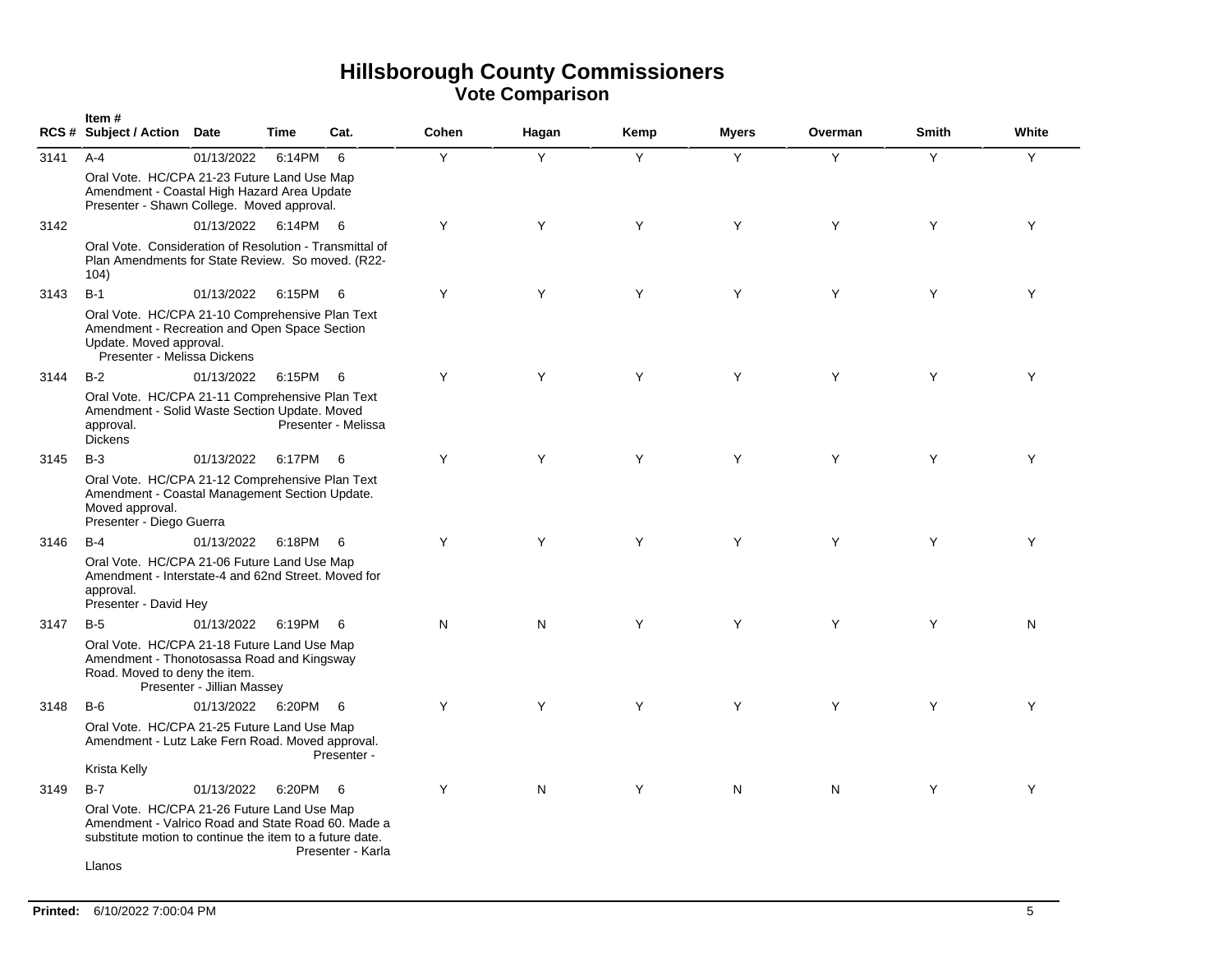|      | Item#<br>RCS # Subject / Action Date                                                                                                                          |                            | <b>Time</b> | Cat.                | Cohen | Hagan | Kemp | <b>Myers</b> | Overman | <b>Smith</b> | White |
|------|---------------------------------------------------------------------------------------------------------------------------------------------------------------|----------------------------|-------------|---------------------|-------|-------|------|--------------|---------|--------------|-------|
| 3141 | $A - 4$                                                                                                                                                       | 01/13/2022                 | 6:14PM      | - 6                 | Y     | Y     | Y    | Y            | Y       | Y            | Y     |
|      | Oral Vote. HC/CPA 21-23 Future Land Use Map<br>Amendment - Coastal High Hazard Area Update<br>Presenter - Shawn College. Moved approval.                      |                            |             |                     |       |       |      |              |         |              |       |
| 3142 |                                                                                                                                                               | 01/13/2022                 | 6:14PM 6    |                     | Y     | Y     | Y    | Y            | Y       | Y            | Y     |
|      | Oral Vote. Consideration of Resolution - Transmittal of<br>Plan Amendments for State Review. So moved. (R22-<br>104)                                          |                            |             |                     |       |       |      |              |         |              |       |
| 3143 | $B-1$                                                                                                                                                         | 01/13/2022                 | 6:15PM 6    |                     | Y     | Y     | Y    | Y            | Y       | Y            | Y     |
|      | Oral Vote. HC/CPA 21-10 Comprehensive Plan Text<br>Amendment - Recreation and Open Space Section<br>Update. Moved approval.<br>Presenter - Melissa Dickens    |                            |             |                     |       |       |      |              |         |              |       |
| 3144 | $B-2$                                                                                                                                                         | 01/13/2022                 | 6:15PM      | - 6                 | Y     | Y     | Y    | Y            | Y       | Y            | Y     |
|      | Oral Vote. HC/CPA 21-11 Comprehensive Plan Text<br>Amendment - Solid Waste Section Update. Moved<br>approval.<br><b>Dickens</b>                               |                            |             | Presenter - Melissa |       |       |      |              |         |              |       |
| 3145 | $B-3$                                                                                                                                                         | 01/13/2022                 | 6:17PM      | - 6                 | Y     | Y     | Y    | Y            | Y       | Y            | Y     |
|      | Oral Vote. HC/CPA 21-12 Comprehensive Plan Text<br>Amendment - Coastal Management Section Update.<br>Moved approval.<br>Presenter - Diego Guerra              |                            |             |                     |       |       |      |              |         |              |       |
| 3146 | $B-4$                                                                                                                                                         | 01/13/2022                 | 6:18PM      | - 6                 | Y     | Y     | Y    | Y            | Y       | Y            | Y     |
|      | Oral Vote. HC/CPA 21-06 Future Land Use Map<br>Amendment - Interstate-4 and 62nd Street. Moved for<br>approval.<br>Presenter - David Hey                      |                            |             |                     |       |       |      |              |         |              |       |
| 3147 | $B-5$                                                                                                                                                         | 01/13/2022                 | 6:19PM      | - 6                 | N     | N     | Y    | Y            | Y       | Y            | N     |
|      | Oral Vote. HC/CPA 21-18 Future Land Use Map<br>Amendment - Thonotosassa Road and Kingsway<br>Road. Moved to deny the item.                                    | Presenter - Jillian Massey |             |                     |       |       |      |              |         |              |       |
| 3148 | $B-6$                                                                                                                                                         | 01/13/2022                 | 6:20PM 6    |                     | Y     | Y     | Y    | Y            | Y       | Y            | Y     |
|      | Oral Vote. HC/CPA 21-25 Future Land Use Map<br>Amendment - Lutz Lake Fern Road. Moved approval.                                                               |                            |             | Presenter -         |       |       |      |              |         |              |       |
|      | Krista Kelly                                                                                                                                                  |                            |             |                     |       |       |      |              |         |              |       |
| 3149 | $B-7$                                                                                                                                                         | 01/13/2022                 | 6:20PM      | - 6                 | Y     | N     | Y    | N            | N       | Y            | Y     |
|      | Oral Vote. HC/CPA 21-26 Future Land Use Map<br>Amendment - Valrico Road and State Road 60. Made a<br>substitute motion to continue the item to a future date. |                            |             | Presenter - Karla   |       |       |      |              |         |              |       |
|      | Llanos                                                                                                                                                        |                            |             |                     |       |       |      |              |         |              |       |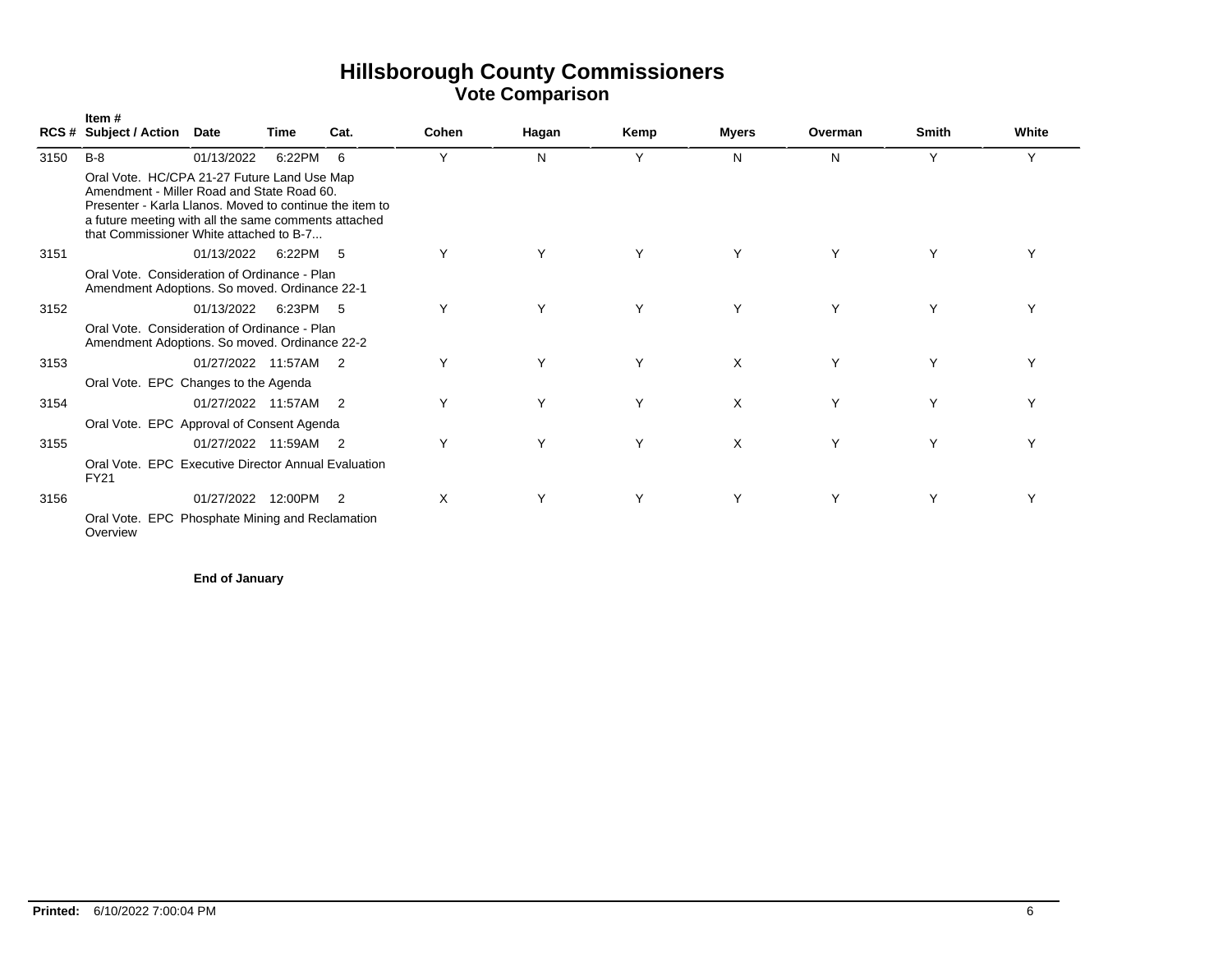|      | Item#<br><b>RCS # Subject / Action</b>                                                                                                                                                                                                                  | Date                 | Time    | Cat.           | Cohen | Hagan | Kemp | Myers | Overman | <b>Smith</b> | White        |
|------|---------------------------------------------------------------------------------------------------------------------------------------------------------------------------------------------------------------------------------------------------------|----------------------|---------|----------------|-------|-------|------|-------|---------|--------------|--------------|
| 3150 | $B-8$                                                                                                                                                                                                                                                   | 01/13/2022           | 6:22PM  | 6              | Υ     | N     | Υ    | N     | N       | Y            | Y            |
|      | Oral Vote. HC/CPA 21-27 Future Land Use Map<br>Amendment - Miller Road and State Road 60.<br>Presenter - Karla Llanos. Moved to continue the item to<br>a future meeting with all the same comments attached<br>that Commissioner White attached to B-7 |                      |         |                |       |       |      |       |         |              |              |
| 3151 |                                                                                                                                                                                                                                                         | 01/13/2022           | 6:22PM  | -5             | Y     | Υ     | Y    | Υ     | Υ       | Υ            |              |
|      | Oral Vote. Consideration of Ordinance - Plan<br>Amendment Adoptions. So moved. Ordinance 22-1                                                                                                                                                           |                      |         |                |       |       |      |       |         |              |              |
| 3152 |                                                                                                                                                                                                                                                         | 01/13/2022           | 6:23PM  | - 5            | Y     | Υ     | Υ    | Υ     | Υ       | Υ            | $\checkmark$ |
|      | Oral Vote. Consideration of Ordinance - Plan<br>Amendment Adoptions. So moved. Ordinance 22-2                                                                                                                                                           |                      |         |                |       |       |      |       |         |              |              |
| 3153 |                                                                                                                                                                                                                                                         | 01/27/2022 11:57AM   |         | $\overline{2}$ | Υ     | Υ     | Y    | X     | Υ       | Υ            | Υ            |
|      | Oral Vote. EPC Changes to the Agenda                                                                                                                                                                                                                    |                      |         |                |       |       |      |       |         |              |              |
| 3154 |                                                                                                                                                                                                                                                         | 01/27/2022 11:57AM 2 |         |                | Y     | Y     | Y    | X     | Y       | Y            |              |
|      | Oral Vote. EPC Approval of Consent Agenda                                                                                                                                                                                                               |                      |         |                |       |       |      |       |         |              |              |
| 3155 |                                                                                                                                                                                                                                                         | 01/27/2022 11:59AM   |         | $\overline{2}$ | Y     | Υ     | Y    | X     | Y       | Υ            | ٧            |
|      | Oral Vote, EPC Executive Director Annual Evaluation<br><b>FY21</b>                                                                                                                                                                                      |                      |         |                |       |       |      |       |         |              |              |
| 3156 |                                                                                                                                                                                                                                                         | 01/27/2022           | 12:00PM | $\overline{2}$ | X     | Y     | Y    | Υ     | Y       | Υ            | Υ            |
|      | Oral Vote. EPC Phosphate Mining and Reclamation<br>Overview                                                                                                                                                                                             |                      |         |                |       |       |      |       |         |              |              |

**End of January**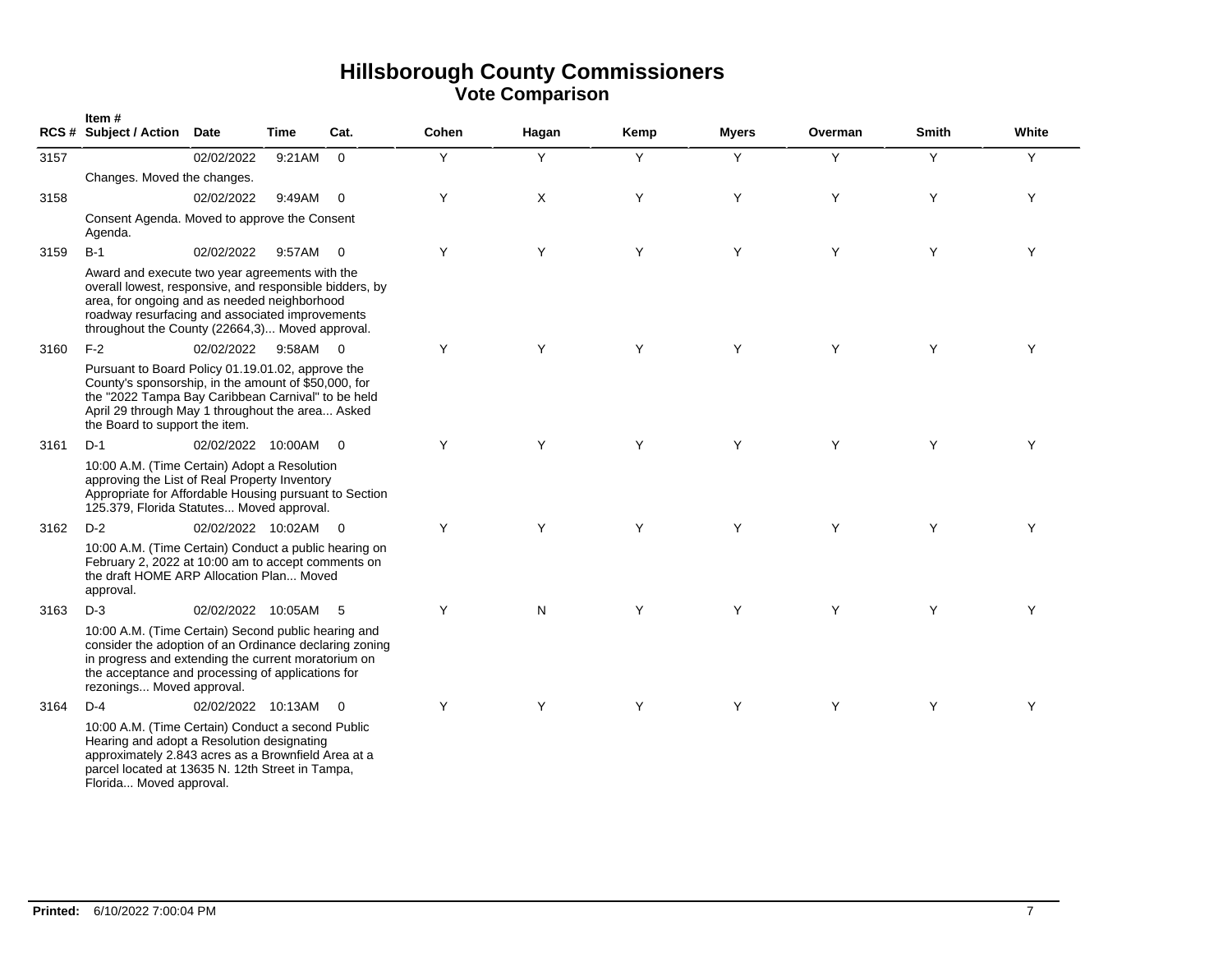|      | Item#<br>RCS # Subject / Action Date                                                                                                                                                                                                                            |                    | Time     | Cat.                     | <b>Cohen</b> | Hagan | Kemp | <b>Myers</b> | Overman | Smith | White |
|------|-----------------------------------------------------------------------------------------------------------------------------------------------------------------------------------------------------------------------------------------------------------------|--------------------|----------|--------------------------|--------------|-------|------|--------------|---------|-------|-------|
| 3157 |                                                                                                                                                                                                                                                                 | 02/02/2022         | 9:21AM   | $\Omega$                 | Y            | Y     | Y    | Y            | Y       | Y     | Y     |
|      | Changes. Moved the changes.                                                                                                                                                                                                                                     |                    |          |                          |              |       |      |              |         |       |       |
| 3158 |                                                                                                                                                                                                                                                                 | 02/02/2022         | 9:49AM   | $\overline{\mathbf{0}}$  | Y            | X     | Y    | Y            | Y       | Y     | Y     |
|      | Consent Agenda. Moved to approve the Consent<br>Agenda.                                                                                                                                                                                                         |                    |          |                          |              |       |      |              |         |       |       |
| 3159 | $B-1$                                                                                                                                                                                                                                                           | 02/02/2022         | 9:57AM   | $\overline{0}$           | Y            | Y     | Y    | Y            | Y       | Y     | Y     |
|      | Award and execute two year agreements with the<br>overall lowest, responsive, and responsible bidders, by<br>area, for ongoing and as needed neighborhood<br>roadway resurfacing and associated improvements<br>throughout the County (22664,3) Moved approval. |                    |          |                          |              |       |      |              |         |       |       |
| 3160 | $F-2$                                                                                                                                                                                                                                                           | 02/02/2022         | 9:58AM 0 |                          | Y            | Y     | Y    | Y            | Y       | Y     | Υ     |
|      | Pursuant to Board Policy 01.19.01.02, approve the<br>County's sponsorship, in the amount of \$50,000, for<br>the "2022 Tampa Bay Caribbean Carnival" to be held<br>April 29 through May 1 throughout the area Asked<br>the Board to support the item.           |                    |          |                          |              |       |      |              |         |       |       |
| 3161 | $D-1$                                                                                                                                                                                                                                                           | 02/02/2022 10:00AM |          | $\overline{0}$           | Y            | Y     | Y    | Y            | Y       | Y     | Y     |
|      | 10:00 A.M. (Time Certain) Adopt a Resolution<br>approving the List of Real Property Inventory<br>Appropriate for Affordable Housing pursuant to Section<br>125.379, Florida Statutes Moved approval.                                                            |                    |          |                          |              |       |      |              |         |       |       |
| 3162 | $D-2$                                                                                                                                                                                                                                                           | 02/02/2022 10:02AM |          | $\overline{\phantom{0}}$ | Y            | Y     | Y    | Y            | Y       | Y     | Y     |
|      | 10:00 A.M. (Time Certain) Conduct a public hearing on<br>February 2, 2022 at 10:00 am to accept comments on<br>the draft HOME ARP Allocation Plan Moved<br>approval.                                                                                            |                    |          |                          |              |       |      |              |         |       |       |
| 3163 | $D-3$                                                                                                                                                                                                                                                           | 02/02/2022 10:05AM |          | - 5                      | Y            | N     | Y    | Y            | Y       | Y     | Y     |
|      | 10:00 A.M. (Time Certain) Second public hearing and<br>consider the adoption of an Ordinance declaring zoning<br>in progress and extending the current moratorium on<br>the acceptance and processing of applications for<br>rezonings Moved approval.          |                    |          |                          |              |       |      |              |         |       |       |
| 3164 | $D-4$                                                                                                                                                                                                                                                           | 02/02/2022 10:13AM |          | $\overline{0}$           | Y            | Y     | Y    | Y            | Y       | Y     | Y     |
|      | 10:00 A.M. (Time Certain) Conduct a second Public<br>Hearing and adopt a Resolution designating<br>approximately 2.843 acres as a Brownfield Area at a<br>parcel located at 13635 N. 12th Street in Tampa,<br>Florida Moved approval.                           |                    |          |                          |              |       |      |              |         |       |       |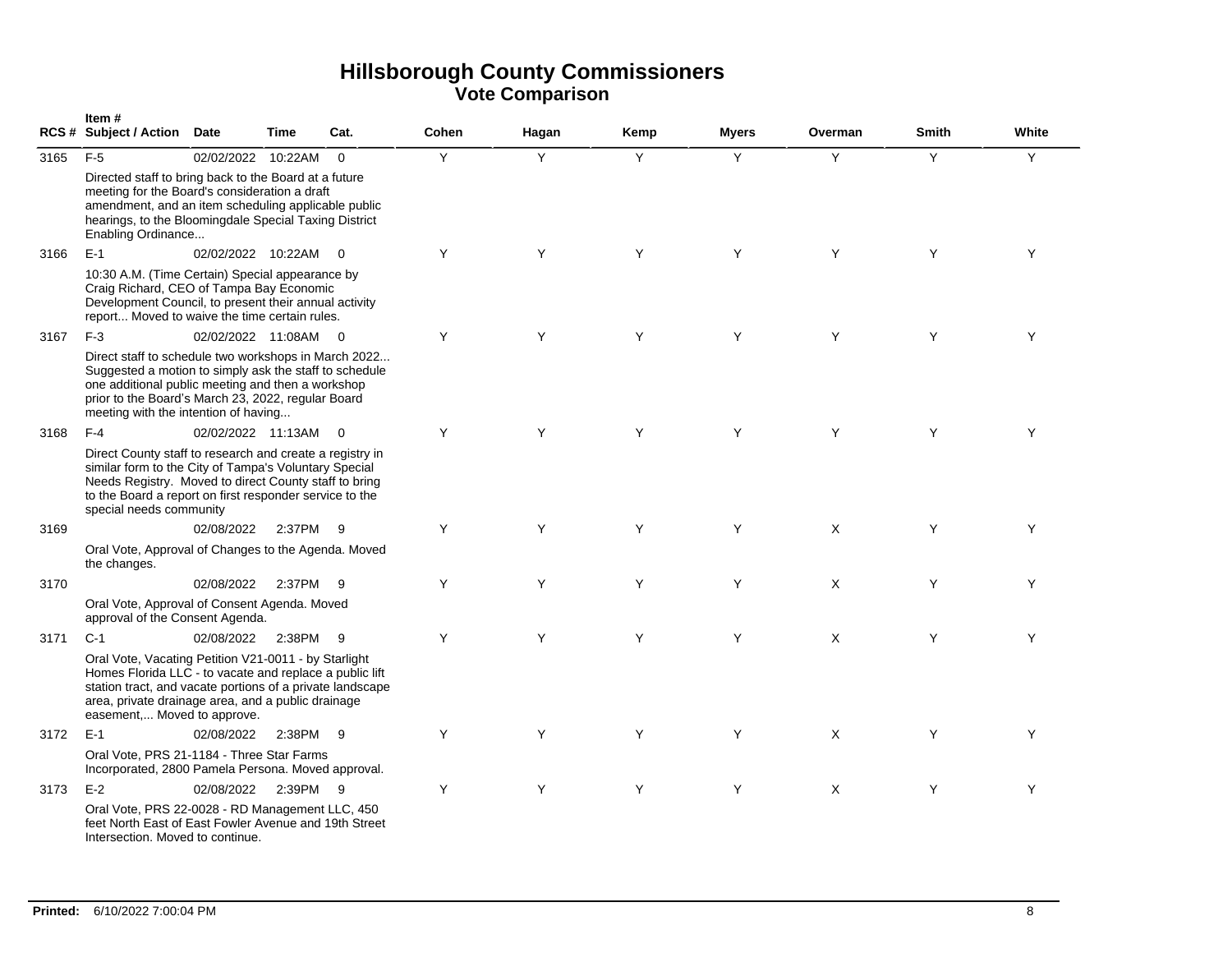|      | Item#<br><b>RCS # Subject / Action</b>                                                                                                                                                                                                                            | <b>Date</b>          | <b>Time</b> | Cat.           | Cohen | Hagan | Kemp | <b>Myers</b> | Overman  | Smith | White |
|------|-------------------------------------------------------------------------------------------------------------------------------------------------------------------------------------------------------------------------------------------------------------------|----------------------|-------------|----------------|-------|-------|------|--------------|----------|-------|-------|
| 3165 | $F-5$                                                                                                                                                                                                                                                             | 02/02/2022 10:22AM   |             | $\overline{0}$ | Y     | Y     | Y    | Y            | Y        | Y     | Y     |
|      | Directed staff to bring back to the Board at a future<br>meeting for the Board's consideration a draft<br>amendment, and an item scheduling applicable public<br>hearings, to the Bloomingdale Special Taxing District<br>Enabling Ordinance                      |                      |             |                |       |       |      |              |          |       |       |
| 3166 | $E-1$                                                                                                                                                                                                                                                             | 02/02/2022 10:22AM 0 |             |                | Y     | Y     | Y    | Y            | Y        | Y     | Y     |
|      | 10:30 A.M. (Time Certain) Special appearance by<br>Craig Richard, CEO of Tampa Bay Economic<br>Development Council, to present their annual activity<br>report Moved to waive the time certain rules.                                                             |                      |             |                |       |       |      |              |          |       |       |
| 3167 | $F-3$                                                                                                                                                                                                                                                             | 02/02/2022 11:08AM 0 |             |                | Y     | Y     | Y    | Y            | Y        | Y     | Y     |
|      | Direct staff to schedule two workshops in March 2022<br>Suggested a motion to simply ask the staff to schedule<br>one additional public meeting and then a workshop<br>prior to the Board's March 23, 2022, regular Board<br>meeting with the intention of having |                      |             |                |       |       |      |              |          |       |       |
| 3168 | $F-4$                                                                                                                                                                                                                                                             | 02/02/2022 11:13AM   |             | $\Omega$       | Y     | Y     | Y    | Y            | Y        | Y     | Y     |
|      | Direct County staff to research and create a registry in<br>similar form to the City of Tampa's Voluntary Special<br>Needs Registry. Moved to direct County staff to bring<br>to the Board a report on first responder service to the<br>special needs community  |                      |             |                |       |       |      |              |          |       |       |
| 3169 |                                                                                                                                                                                                                                                                   | 02/08/2022           | 2:37PM      | -9             | Y     | Y     | Y    | Y            | $\times$ | Y     | Y     |
|      | Oral Vote, Approval of Changes to the Agenda. Moved<br>the changes.                                                                                                                                                                                               |                      |             |                |       |       |      |              |          |       |       |
| 3170 |                                                                                                                                                                                                                                                                   | 02/08/2022           | 2:37PM      | - 9            | Y     | Y     | Y    | Y            | X        | Y     | Y     |
|      | Oral Vote, Approval of Consent Agenda. Moved<br>approval of the Consent Agenda.                                                                                                                                                                                   |                      |             |                |       |       |      |              |          |       |       |
| 3171 | $C-1$                                                                                                                                                                                                                                                             | 02/08/2022           | 2:38PM 9    |                | Y     | Y     | Y    | Y            | X        | Y     | Y     |
|      | Oral Vote, Vacating Petition V21-0011 - by Starlight<br>Homes Florida LLC - to vacate and replace a public lift<br>station tract, and vacate portions of a private landscape<br>area, private drainage area, and a public drainage<br>easement, Moved to approve. |                      |             |                |       |       |      |              |          |       |       |
| 3172 | $E-1$                                                                                                                                                                                                                                                             | 02/08/2022           | 2:38PM      | 9              | Y     | Y     | Y    | Y            | X        | Y     | Y     |
|      | Oral Vote, PRS 21-1184 - Three Star Farms<br>Incorporated, 2800 Pamela Persona. Moved approval.                                                                                                                                                                   |                      |             |                |       |       |      |              |          |       |       |
| 3173 | $E-2$                                                                                                                                                                                                                                                             | 02/08/2022           | 2:39PM 9    |                | Y     | Y     | Y    | Y            | X        | Y     | Y     |
|      | Oral Vote, PRS 22-0028 - RD Management LLC, 450<br>feet North East of East Fowler Avenue and 19th Street<br>Intersection. Moved to continue.                                                                                                                      |                      |             |                |       |       |      |              |          |       |       |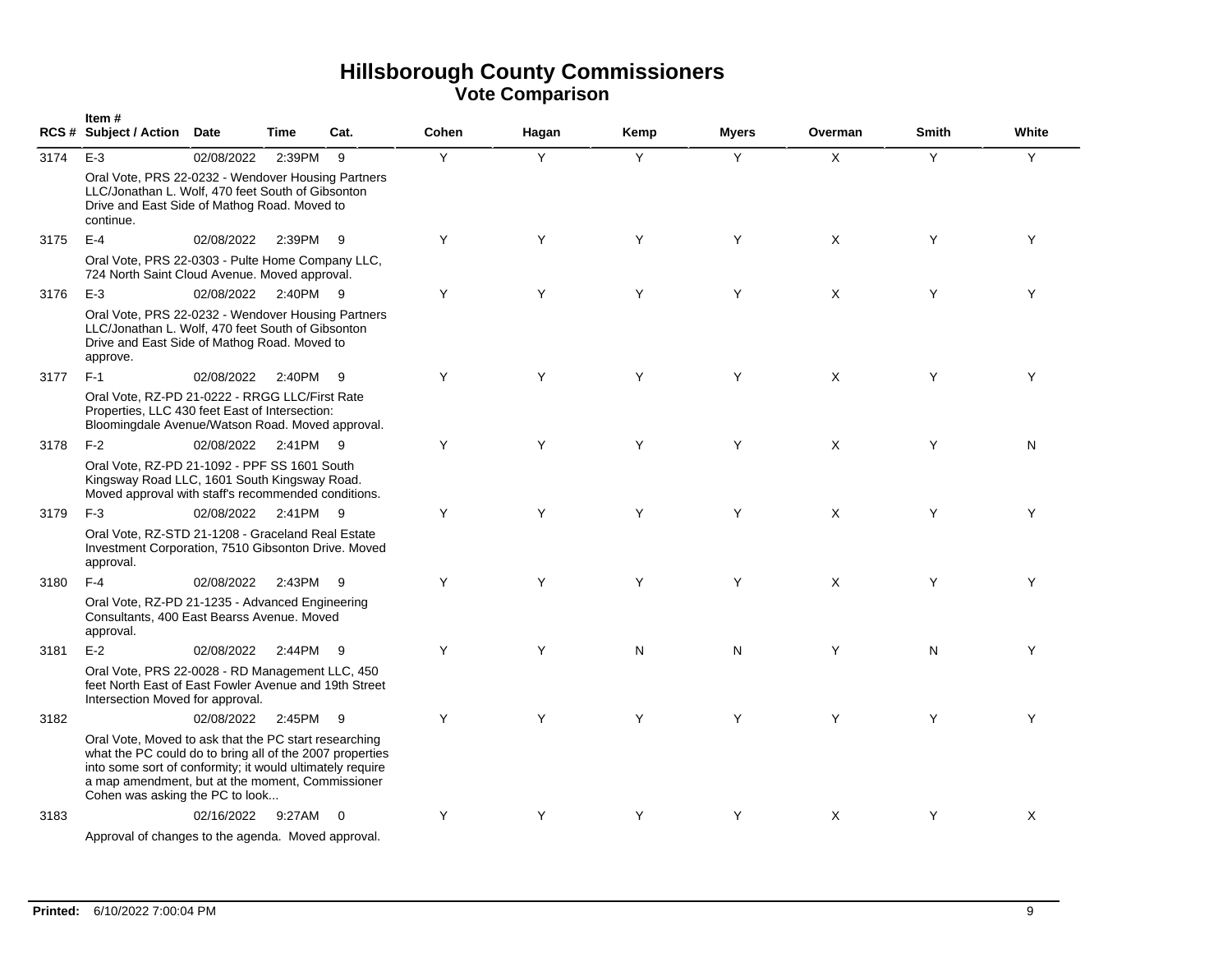|      | Item#<br>RCS # Subject / Action Date                                                                                                                                                                                                                                  |            | Time     | Cat. | Cohen | Hagan | Kemp | <b>Myers</b> | Overman      | <b>Smith</b> | White |
|------|-----------------------------------------------------------------------------------------------------------------------------------------------------------------------------------------------------------------------------------------------------------------------|------------|----------|------|-------|-------|------|--------------|--------------|--------------|-------|
| 3174 | $E-3$                                                                                                                                                                                                                                                                 | 02/08/2022 | 2:39PM   | - 9  | Y     | Y     | Y    | Y            | $\mathsf{X}$ | Y            | Y     |
|      | Oral Vote, PRS 22-0232 - Wendover Housing Partners<br>LLC/Jonathan L. Wolf, 470 feet South of Gibsonton<br>Drive and East Side of Mathog Road. Moved to<br>continue.                                                                                                  |            |          |      |       |       |      |              |              |              |       |
| 3175 | $E-4$                                                                                                                                                                                                                                                                 | 02/08/2022 | 2:39PM   | - 9  | Y     | Y     | Y    | Y            | X            | Y            | Y     |
|      | Oral Vote, PRS 22-0303 - Pulte Home Company LLC,<br>724 North Saint Cloud Avenue. Moved approval.                                                                                                                                                                     |            |          |      |       |       |      |              |              |              |       |
| 3176 | $E-3$                                                                                                                                                                                                                                                                 | 02/08/2022 | 2:40PM 9 |      | Y     | Y     | Y    | Y            | $\times$     | Y            | Y     |
|      | Oral Vote, PRS 22-0232 - Wendover Housing Partners<br>LLC/Jonathan L. Wolf, 470 feet South of Gibsonton<br>Drive and East Side of Mathog Road. Moved to<br>approve.                                                                                                   |            |          |      |       |       |      |              |              |              |       |
| 3177 | $F-1$                                                                                                                                                                                                                                                                 | 02/08/2022 | 2:40PM   | - 9  | Y     | Y     | Y    | Y            | X            | Y            | Y     |
|      | Oral Vote, RZ-PD 21-0222 - RRGG LLC/First Rate<br>Properties, LLC 430 feet East of Intersection:<br>Bloomingdale Avenue/Watson Road. Moved approval.                                                                                                                  |            |          |      |       |       |      |              |              |              |       |
| 3178 | $F-2$                                                                                                                                                                                                                                                                 | 02/08/2022 | 2:41PM 9 |      | Y     | Y     | Y    | Y            | $\mathsf{X}$ | Y            | N     |
|      | Oral Vote, RZ-PD 21-1092 - PPF SS 1601 South<br>Kingsway Road LLC, 1601 South Kingsway Road.<br>Moved approval with staff's recommended conditions.                                                                                                                   |            |          |      |       |       |      |              |              |              |       |
| 3179 | $F-3$                                                                                                                                                                                                                                                                 | 02/08/2022 | 2:41PM   | - 9  | Y     | Y     | Y    | Y            | $\times$     | Y            | Y     |
|      | Oral Vote, RZ-STD 21-1208 - Graceland Real Estate<br>Investment Corporation, 7510 Gibsonton Drive. Moved<br>approval.                                                                                                                                                 |            |          |      |       |       |      |              |              |              |       |
| 3180 | $F-4$                                                                                                                                                                                                                                                                 | 02/08/2022 | 2:43PM   | - 9  | Y     | Y     | Y    | Y            | X            | Y            | Y     |
|      | Oral Vote, RZ-PD 21-1235 - Advanced Engineering<br>Consultants, 400 East Bearss Avenue. Moved<br>approval.                                                                                                                                                            |            |          |      |       |       |      |              |              |              |       |
| 3181 | $E-2$                                                                                                                                                                                                                                                                 | 02/08/2022 | 2:44PM   | - 9  | Y     | Y     | N    | N            | Y            | N            | Y     |
|      | Oral Vote, PRS 22-0028 - RD Management LLC, 450<br>feet North East of East Fowler Avenue and 19th Street<br>Intersection Moved for approval.                                                                                                                          |            |          |      |       |       |      |              |              |              |       |
| 3182 |                                                                                                                                                                                                                                                                       | 02/08/2022 | 2:45PM   | - 9  | Y     | Y     | Y    | Y            | Y            | Y            | Y     |
|      | Oral Vote, Moved to ask that the PC start researching<br>what the PC could do to bring all of the 2007 properties<br>into some sort of conformity; it would ultimately require<br>a map amendment, but at the moment, Commissioner<br>Cohen was asking the PC to look |            |          |      |       |       |      |              |              |              |       |
| 3183 |                                                                                                                                                                                                                                                                       | 02/16/2022 | 9:27AM   | - 0  | Y     | Υ     | Y    | Y            | X            | Y            | Χ     |
|      | Approval of changes to the agenda. Moved approval.                                                                                                                                                                                                                    |            |          |      |       |       |      |              |              |              |       |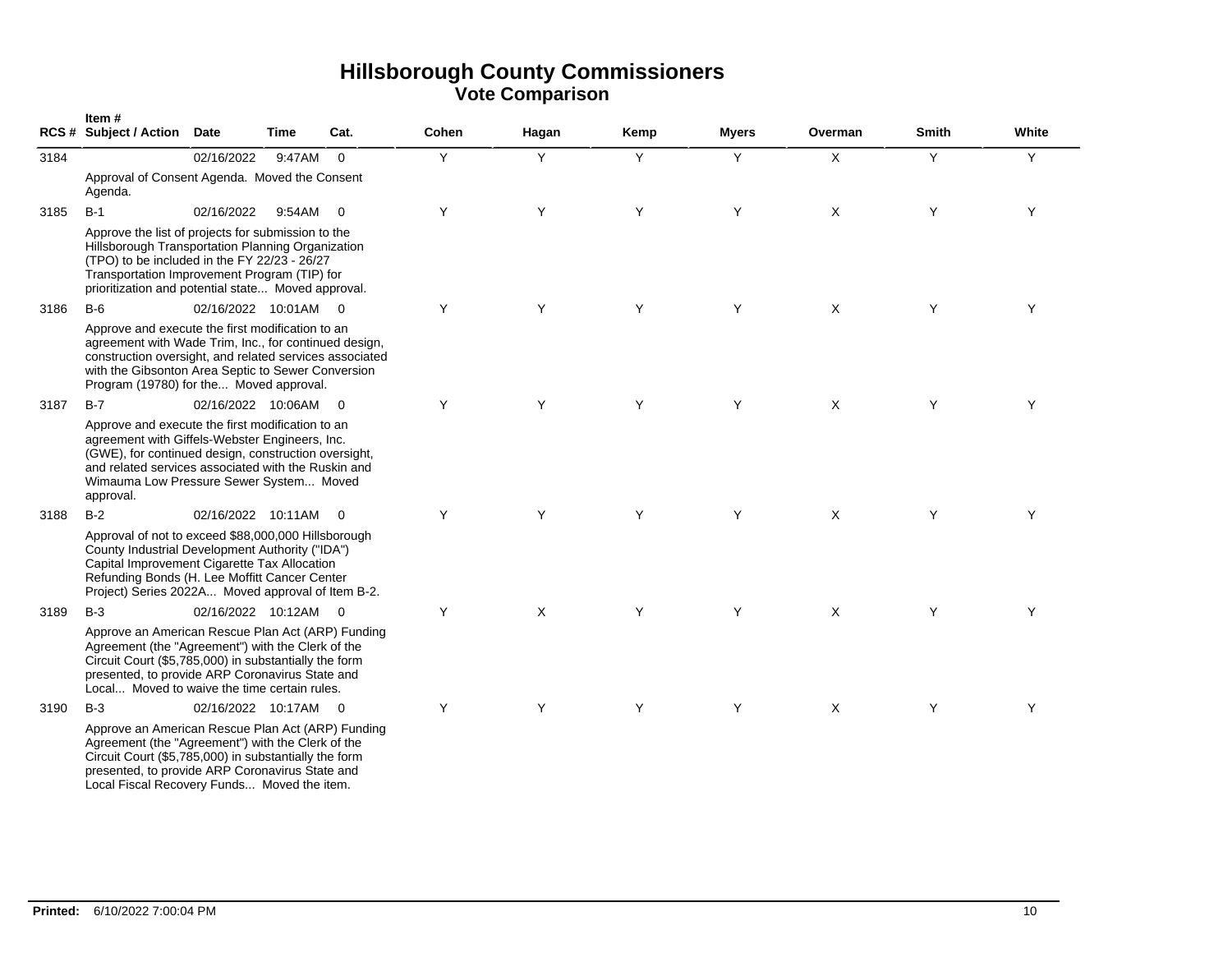|      | Item#<br>RCS # Subject / Action Date                                                                                                                                                                                                                                      |                      | Time     | Cat.           | Cohen | Hagan   | Kemp | <b>Myers</b> | Overman      | <b>Smith</b> | White |
|------|---------------------------------------------------------------------------------------------------------------------------------------------------------------------------------------------------------------------------------------------------------------------------|----------------------|----------|----------------|-------|---------|------|--------------|--------------|--------------|-------|
| 3184 |                                                                                                                                                                                                                                                                           | 02/16/2022           | 9:47AM   | $\Omega$       | Y     | Y       | Y    | Y            | $\times$     | Y            | Y     |
|      | Approval of Consent Agenda. Moved the Consent<br>Agenda.                                                                                                                                                                                                                  |                      |          |                |       |         |      |              |              |              |       |
| 3185 | $B-1$                                                                                                                                                                                                                                                                     | 02/16/2022           | 9:54AM 0 |                | Y     | Y       | Y    | Y            | X            | Y            | Y     |
|      | Approve the list of projects for submission to the<br>Hillsborough Transportation Planning Organization<br>(TPO) to be included in the FY 22/23 - 26/27<br>Transportation Improvement Program (TIP) for<br>prioritization and potential state Moved approval.             |                      |          |                |       |         |      |              |              |              |       |
| 3186 | $B-6$                                                                                                                                                                                                                                                                     | 02/16/2022 10:01AM 0 |          |                | Y     | Y       | Y    | Y            | X            | Υ            | Y     |
|      | Approve and execute the first modification to an<br>agreement with Wade Trim, Inc., for continued design,<br>construction oversight, and related services associated<br>with the Gibsonton Area Septic to Sewer Conversion<br>Program (19780) for the Moved approval.     |                      |          |                |       |         |      |              |              |              |       |
| 3187 | $B-7$                                                                                                                                                                                                                                                                     | 02/16/2022 10:06AM   |          | $\overline{0}$ | Y     | Y       | Y    | Y            | $\mathsf{X}$ | Y            | Y     |
|      | Approve and execute the first modification to an<br>agreement with Giffels-Webster Engineers, Inc.<br>(GWE), for continued design, construction oversight,<br>and related services associated with the Ruskin and<br>Wimauma Low Pressure Sewer System Moved<br>approval. |                      |          |                |       |         |      |              |              |              |       |
| 3188 | $B-2$                                                                                                                                                                                                                                                                     | 02/16/2022 10:11AM 0 |          |                | Y     | Y       | Y    | Y            | X            | Y            | Y     |
|      | Approval of not to exceed \$88,000,000 Hillsborough<br>County Industrial Development Authority ("IDA")<br>Capital Improvement Cigarette Tax Allocation<br>Refunding Bonds (H. Lee Moffitt Cancer Center<br>Project) Series 2022A Moved approval of Item B-2.              |                      |          |                |       |         |      |              |              |              |       |
| 3189 | $B-3$                                                                                                                                                                                                                                                                     | 02/16/2022 10:12AM 0 |          |                | Y     | $\sf X$ | Y    | Y            | X            | Y            | Y     |
|      | Approve an American Rescue Plan Act (ARP) Funding<br>Agreement (the "Agreement") with the Clerk of the<br>Circuit Court (\$5,785,000) in substantially the form<br>presented, to provide ARP Coronavirus State and<br>Local Moved to waive the time certain rules.        |                      |          |                |       |         |      |              |              |              |       |
| 3190 | $B-3$                                                                                                                                                                                                                                                                     | 02/16/2022 10:17AM 0 |          |                | Y     | Y       | Y    | Y            | X            | Y            | Y     |
|      | Approve an American Rescue Plan Act (ARP) Funding<br>Agreement (the "Agreement") with the Clerk of the<br>Circuit Court (\$5,785,000) in substantially the form<br>presented, to provide ARP Coronavirus State and                                                        |                      |          |                |       |         |      |              |              |              |       |

Local Fiscal Recovery Funds... Moved the item.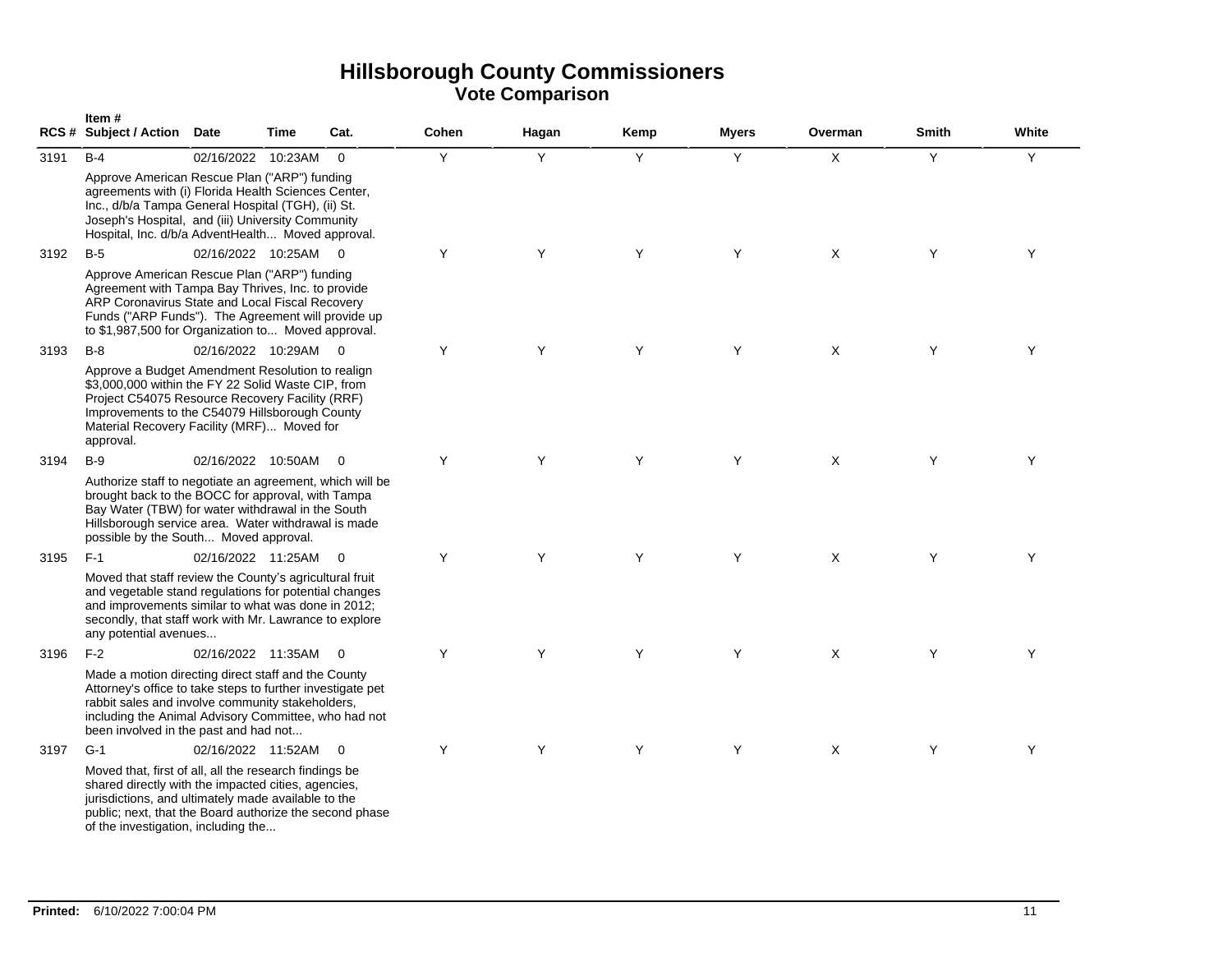|      | Item#<br>RCS # Subject / Action Date                                                                                                                                                                                                                                   |                    | <b>Time</b> | Cat.                     | Cohen | Hagan | Kemp | <b>Myers</b> | Overman      | Smith | White |
|------|------------------------------------------------------------------------------------------------------------------------------------------------------------------------------------------------------------------------------------------------------------------------|--------------------|-------------|--------------------------|-------|-------|------|--------------|--------------|-------|-------|
| 3191 | $B-4$                                                                                                                                                                                                                                                                  | 02/16/2022         | 10:23AM     | $\overline{0}$           | Y     | Y     | Y    | Y            | $\mathsf{x}$ | Y     | Y     |
|      | Approve American Rescue Plan ("ARP") funding<br>agreements with (i) Florida Health Sciences Center,<br>Inc., d/b/a Tampa General Hospital (TGH), (ii) St.<br>Joseph's Hospital, and (iii) University Community<br>Hospital, Inc. d/b/a AdventHealth Moved approval.    |                    |             |                          |       |       |      |              |              |       |       |
| 3192 | $B-5$                                                                                                                                                                                                                                                                  | 02/16/2022 10:25AM |             | $\overline{0}$           | Υ     | Υ     | Y    | Y            | X            | Υ     | Υ     |
|      | Approve American Rescue Plan ("ARP") funding<br>Agreement with Tampa Bay Thrives, Inc. to provide<br>ARP Coronavirus State and Local Fiscal Recovery<br>Funds ("ARP Funds"). The Agreement will provide up<br>to \$1,987,500 for Organization to Moved approval.       |                    |             |                          |       |       |      |              |              |       |       |
| 3193 | $B-8$                                                                                                                                                                                                                                                                  | 02/16/2022 10:29AM |             | $\overline{\phantom{0}}$ | Y     | Y     | Y    | Y            | X            | Y     | Y     |
|      | Approve a Budget Amendment Resolution to realign<br>\$3,000,000 within the FY 22 Solid Waste CIP, from<br>Project C54075 Resource Recovery Facility (RRF)<br>Improvements to the C54079 Hillsborough County<br>Material Recovery Facility (MRF) Moved for<br>approval. |                    |             |                          |       |       |      |              |              |       |       |
| 3194 | $B-9$                                                                                                                                                                                                                                                                  | 02/16/2022 10:50AM |             | $\overline{\mathbf{0}}$  | Y     | Y     | Y    | Y            | $\times$     | Y     | Y     |
|      | Authorize staff to negotiate an agreement, which will be<br>brought back to the BOCC for approval, with Tampa<br>Bay Water (TBW) for water withdrawal in the South<br>Hillsborough service area. Water withdrawal is made<br>possible by the South Moved approval.     |                    |             |                          |       |       |      |              |              |       |       |
| 3195 | $F-1$                                                                                                                                                                                                                                                                  | 02/16/2022 11:25AM |             | $\overline{\mathbf{0}}$  | Y     | Y     | Y    | Y            | $\times$     | Y     | Y     |
|      | Moved that staff review the County's agricultural fruit<br>and vegetable stand regulations for potential changes<br>and improvements similar to what was done in 2012;<br>secondly, that staff work with Mr. Lawrance to explore<br>any potential avenues              |                    |             |                          |       |       |      |              |              |       |       |
| 3196 | $F-2$                                                                                                                                                                                                                                                                  | 02/16/2022 11:35AM |             | $\overline{0}$           | Y     | Y     | Y    | Y            | X            | Y     | Y     |
|      | Made a motion directing direct staff and the County<br>Attorney's office to take steps to further investigate pet<br>rabbit sales and involve community stakeholders,<br>including the Animal Advisory Committee, who had not<br>been involved in the past and had not |                    |             |                          |       |       |      |              |              |       |       |
| 3197 | $G-1$                                                                                                                                                                                                                                                                  | 02/16/2022 11:52AM |             | $\overline{0}$           | Y     | Y     | Y    | Y            | $\times$     | Y     | Y     |
|      | Moved that, first of all, all the research findings be<br>shared directly with the impacted cities, agencies,<br>jurisdictions, and ultimately made available to the<br>public; next, that the Board authorize the second phase<br>of the investigation, including the |                    |             |                          |       |       |      |              |              |       |       |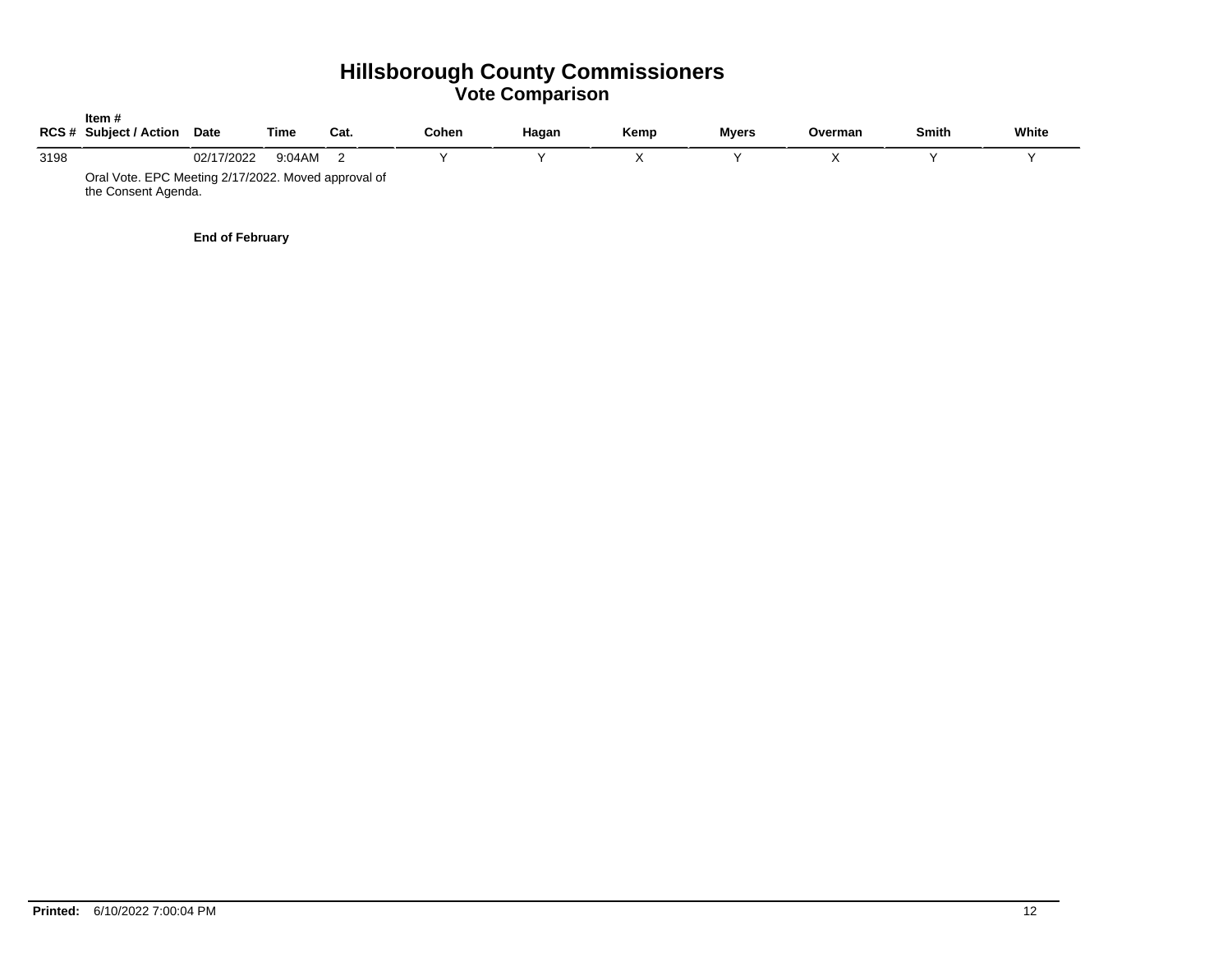|      | Item #<br><b>RCS # Subject / Action</b>                                    | <b>Date</b> | Time   | Cat. | Cohen | Hagan | Kemp | <b>Myers</b> | Overman | <b>Smith</b> | White |
|------|----------------------------------------------------------------------------|-------------|--------|------|-------|-------|------|--------------|---------|--------------|-------|
| 3198 |                                                                            | 02/17/2022  | 9:04AM |      |       |       |      |              |         |              |       |
|      | Oral Vote. EPC Meeting 2/17/2022. Moved approval of<br>the Consent Agenda. |             |        |      |       |       |      |              |         |              |       |

**End of February**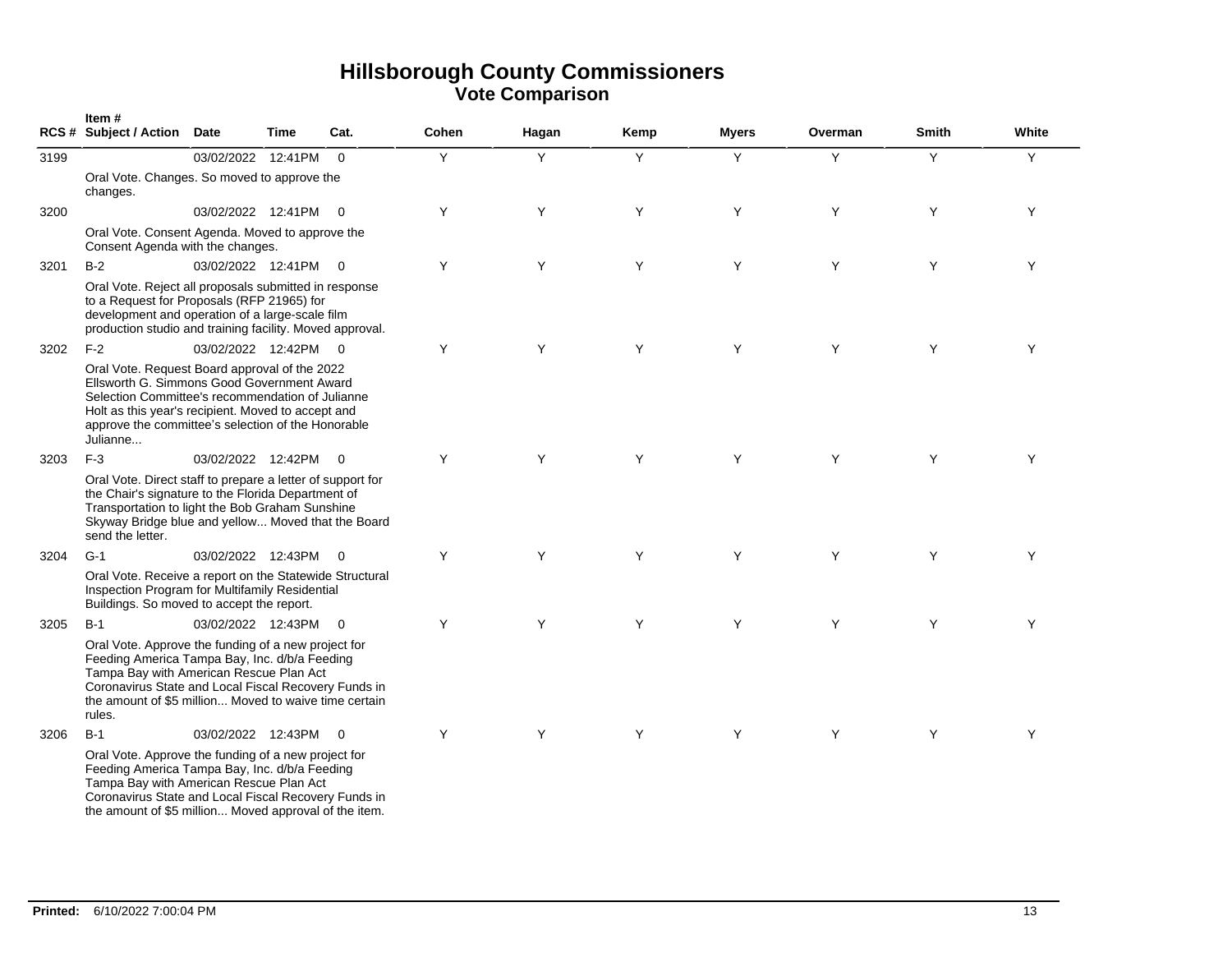|      | Item#<br><b>RCS # Subject / Action</b>                                                                                                                                                                                                                                     | Date                 | Time | Cat.                     | Cohen | Hagan | Kemp | <b>Myers</b> | Overman | <b>Smith</b> | White |
|------|----------------------------------------------------------------------------------------------------------------------------------------------------------------------------------------------------------------------------------------------------------------------------|----------------------|------|--------------------------|-------|-------|------|--------------|---------|--------------|-------|
| 3199 |                                                                                                                                                                                                                                                                            | 03/02/2022 12:41PM   |      | $\Omega$                 | Y     | Y     | Y    | Y            | Y       | Y            | Υ     |
|      | Oral Vote. Changes. So moved to approve the<br>changes.                                                                                                                                                                                                                    |                      |      |                          |       |       |      |              |         |              |       |
| 3200 |                                                                                                                                                                                                                                                                            | 03/02/2022 12:41PM   |      | $\overline{\phantom{0}}$ | Y     | Y     | Y    | Y            | Y       | Y            | Y     |
|      | Oral Vote. Consent Agenda. Moved to approve the<br>Consent Agenda with the changes.                                                                                                                                                                                        |                      |      |                          |       |       |      |              |         |              |       |
| 3201 | $B-2$                                                                                                                                                                                                                                                                      | 03/02/2022 12:41PM 0 |      |                          | Y     | Y     | Y    | Y            | Y       | Y            | Y     |
|      | Oral Vote. Reject all proposals submitted in response<br>to a Request for Proposals (RFP 21965) for<br>development and operation of a large-scale film<br>production studio and training facility. Moved approval.                                                         |                      |      |                          |       |       |      |              |         |              |       |
| 3202 | $F-2$                                                                                                                                                                                                                                                                      | 03/02/2022 12:42PM 0 |      |                          | Y     | Y     | Y    | Y            | Y       | Y            | Y     |
|      | Oral Vote. Request Board approval of the 2022<br>Ellsworth G. Simmons Good Government Award<br>Selection Committee's recommendation of Julianne<br>Holt as this year's recipient. Moved to accept and<br>approve the committee's selection of the Honorable<br>Julianne    |                      |      |                          |       |       |      |              |         |              |       |
| 3203 | $F-3$                                                                                                                                                                                                                                                                      | 03/02/2022 12:42PM   |      | $\overline{0}$           | Y     | Y     | Y    | Y            | Y       | Y            | Y     |
|      | Oral Vote. Direct staff to prepare a letter of support for<br>the Chair's signature to the Florida Department of<br>Transportation to light the Bob Graham Sunshine<br>Skyway Bridge blue and yellow Moved that the Board<br>send the letter.                              |                      |      |                          |       |       |      |              |         |              |       |
| 3204 | $G-1$                                                                                                                                                                                                                                                                      | 03/02/2022 12:43PM   |      | $\overline{0}$           | Y     | Y     | Y    | Y            | Y       | Y            | Y     |
|      | Oral Vote. Receive a report on the Statewide Structural<br>Inspection Program for Multifamily Residential<br>Buildings. So moved to accept the report.                                                                                                                     |                      |      |                          |       |       |      |              |         |              |       |
| 3205 | $B-1$                                                                                                                                                                                                                                                                      | 03/02/2022 12:43PM 0 |      |                          | Y     | Y     | Y    | Y            | Y       | Y            | Y     |
|      | Oral Vote. Approve the funding of a new project for<br>Feeding America Tampa Bay, Inc. d/b/a Feeding<br>Tampa Bay with American Rescue Plan Act<br>Coronavirus State and Local Fiscal Recovery Funds in<br>the amount of \$5 million Moved to waive time certain<br>rules. |                      |      |                          |       |       |      |              |         |              |       |
| 3206 | $B-1$                                                                                                                                                                                                                                                                      | 03/02/2022 12:43PM   |      | $\overline{0}$           | Y     | Y     | Y    | Y            | Y       | Y            | Y     |
|      | Oral Vote. Approve the funding of a new project for<br>Feeding America Tampa Bay, Inc. d/b/a Feeding<br>Tampa Bay with American Rescue Plan Act<br>Coronavirus State and Local Fiscal Recovery Funds in<br>the amount of \$5 million Moved approval of the item.           |                      |      |                          |       |       |      |              |         |              |       |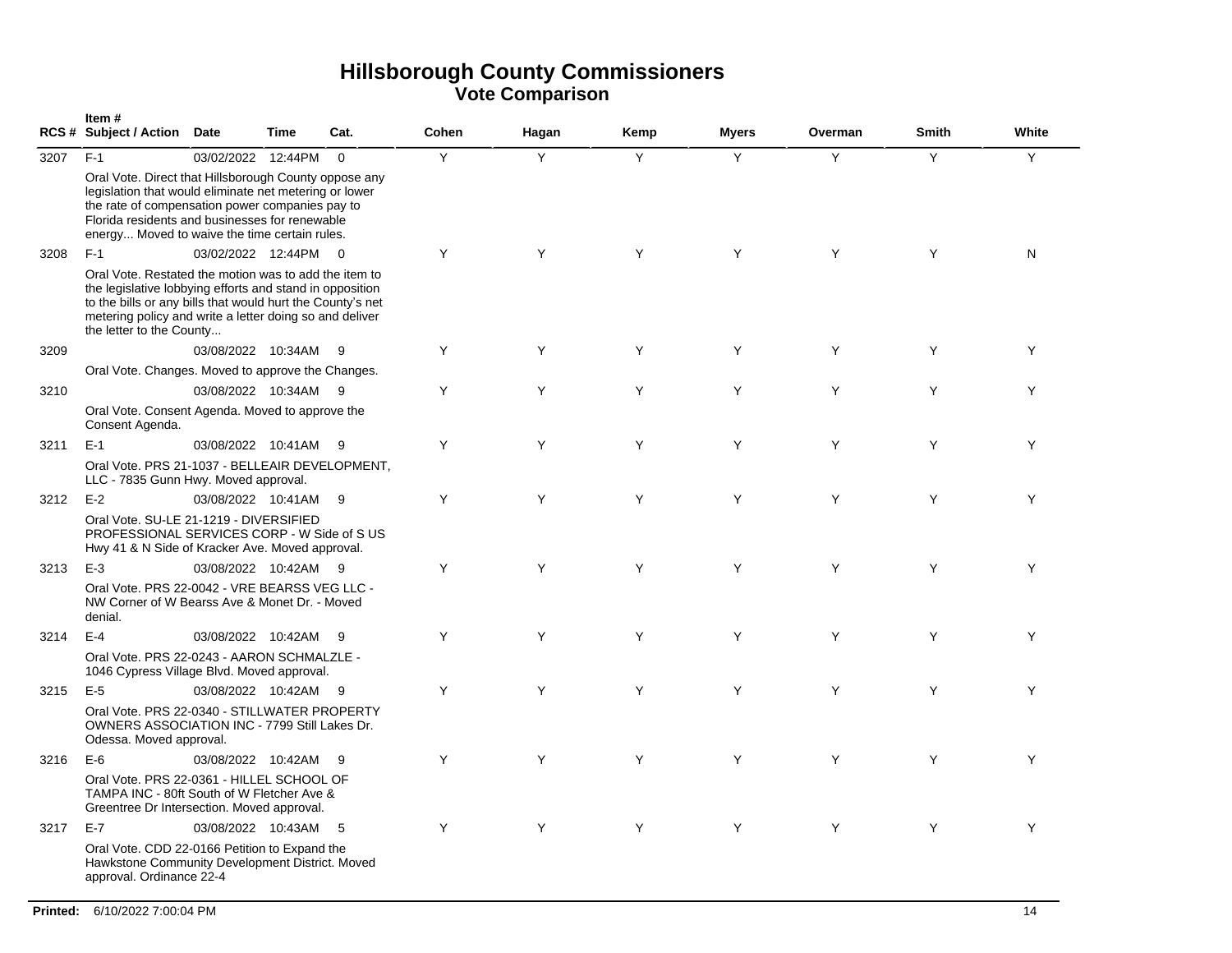|      | Item#<br><b>RCS # Subject / Action</b>                                                                                                                                                                                                                                 | <b>Date</b>          | Time | Cat.           | Cohen | Hagan | Kemp | <b>Myers</b> | Overman | <b>Smith</b> | White |
|------|------------------------------------------------------------------------------------------------------------------------------------------------------------------------------------------------------------------------------------------------------------------------|----------------------|------|----------------|-------|-------|------|--------------|---------|--------------|-------|
| 3207 | $F-1$                                                                                                                                                                                                                                                                  | 03/02/2022 12:44PM   |      | $\Omega$       | Y     | Y     | Y    | Y            | Y       | Y            | Y     |
|      | Oral Vote. Direct that Hillsborough County oppose any<br>legislation that would eliminate net metering or lower<br>the rate of compensation power companies pay to<br>Florida residents and businesses for renewable<br>energy Moved to waive the time certain rules.  |                      |      |                |       |       |      |              |         |              |       |
| 3208 | $F-1$                                                                                                                                                                                                                                                                  | 03/02/2022 12:44PM   |      | $\overline{0}$ | Y     | Y     | Y    | Y            | Y       | Y            | N     |
|      | Oral Vote. Restated the motion was to add the item to<br>the legislative lobbying efforts and stand in opposition<br>to the bills or any bills that would hurt the County's net<br>metering policy and write a letter doing so and deliver<br>the letter to the County |                      |      |                |       |       |      |              |         |              |       |
| 3209 |                                                                                                                                                                                                                                                                        | 03/08/2022 10:34AM   |      | - 9            | Y     | Y     | Y    | Y            | Y       | Y            | Y     |
|      | Oral Vote. Changes. Moved to approve the Changes.                                                                                                                                                                                                                      |                      |      |                |       |       |      |              |         |              |       |
| 3210 |                                                                                                                                                                                                                                                                        | 03/08/2022 10:34AM   |      | - 9            | Y     | Y     | Y    | Y            | Y       | Y            | Y     |
|      | Oral Vote. Consent Agenda. Moved to approve the<br>Consent Agenda.                                                                                                                                                                                                     |                      |      |                |       |       |      |              |         |              |       |
| 3211 | $E-1$                                                                                                                                                                                                                                                                  | 03/08/2022 10:41AM   |      | - 9            | Y     | Y     | Y    | Y            | Y       | Y            | Y     |
|      | Oral Vote. PRS 21-1037 - BELLEAIR DEVELOPMENT,<br>LLC - 7835 Gunn Hwy. Moved approval.                                                                                                                                                                                 |                      |      |                |       |       |      |              |         |              |       |
| 3212 | $E-2$                                                                                                                                                                                                                                                                  | 03/08/2022 10:41AM   |      | - 9            | Y     | Y     | Y    | Y            | Y       | Y            | Y     |
|      | Oral Vote, SU-LE 21-1219 - DIVERSIFIED<br>PROFESSIONAL SERVICES CORP - W Side of S US<br>Hwy 41 & N Side of Kracker Ave. Moved approval.                                                                                                                               |                      |      |                |       |       |      |              |         |              |       |
| 3213 | $E-3$                                                                                                                                                                                                                                                                  | 03/08/2022 10:42AM 9 |      |                | Y     | Y     | Y    | Y            | Y       | Y            | Y     |
|      | Oral Vote. PRS 22-0042 - VRE BEARSS VEG LLC -<br>NW Corner of W Bearss Ave & Monet Dr. - Moved<br>denial.                                                                                                                                                              |                      |      |                |       |       |      |              |         |              |       |
| 3214 | $E-4$                                                                                                                                                                                                                                                                  | 03/08/2022 10:42AM   |      | - 9            | Y     | Y     | Y    | Y            | Y       | Y            | Υ     |
|      | Oral Vote. PRS 22-0243 - AARON SCHMALZLE -<br>1046 Cypress Village Blvd. Moved approval.                                                                                                                                                                               |                      |      |                |       |       |      |              |         |              |       |
| 3215 | $E-5$                                                                                                                                                                                                                                                                  | 03/08/2022 10:42AM   |      | - 9            | Y     | Y     | Y    | Y            | Y       | Y            | Y     |
|      | Oral Vote. PRS 22-0340 - STILLWATER PROPERTY<br>OWNERS ASSOCIATION INC - 7799 Still Lakes Dr.<br>Odessa. Moved approval.                                                                                                                                               |                      |      |                |       |       |      |              |         |              |       |
| 3216 | $E-6$                                                                                                                                                                                                                                                                  | 03/08/2022 10:42AM   |      | - 9            | Y     | Y     | Y    | Y            | Y       | Y            | Y     |
|      | Oral Vote. PRS 22-0361 - HILLEL SCHOOL OF<br>TAMPA INC - 80ft South of W Fletcher Ave &<br>Greentree Dr Intersection. Moved approval.                                                                                                                                  |                      |      |                |       |       |      |              |         |              |       |
| 3217 | $E-7$                                                                                                                                                                                                                                                                  | 03/08/2022 10:43AM   |      | - 5            | Y     | Y     | Y    | Y            | Y       | Y            | Y     |
|      | Oral Vote. CDD 22-0166 Petition to Expand the<br>Hawkstone Community Development District. Moved<br>approval. Ordinance 22-4                                                                                                                                           |                      |      |                |       |       |      |              |         |              |       |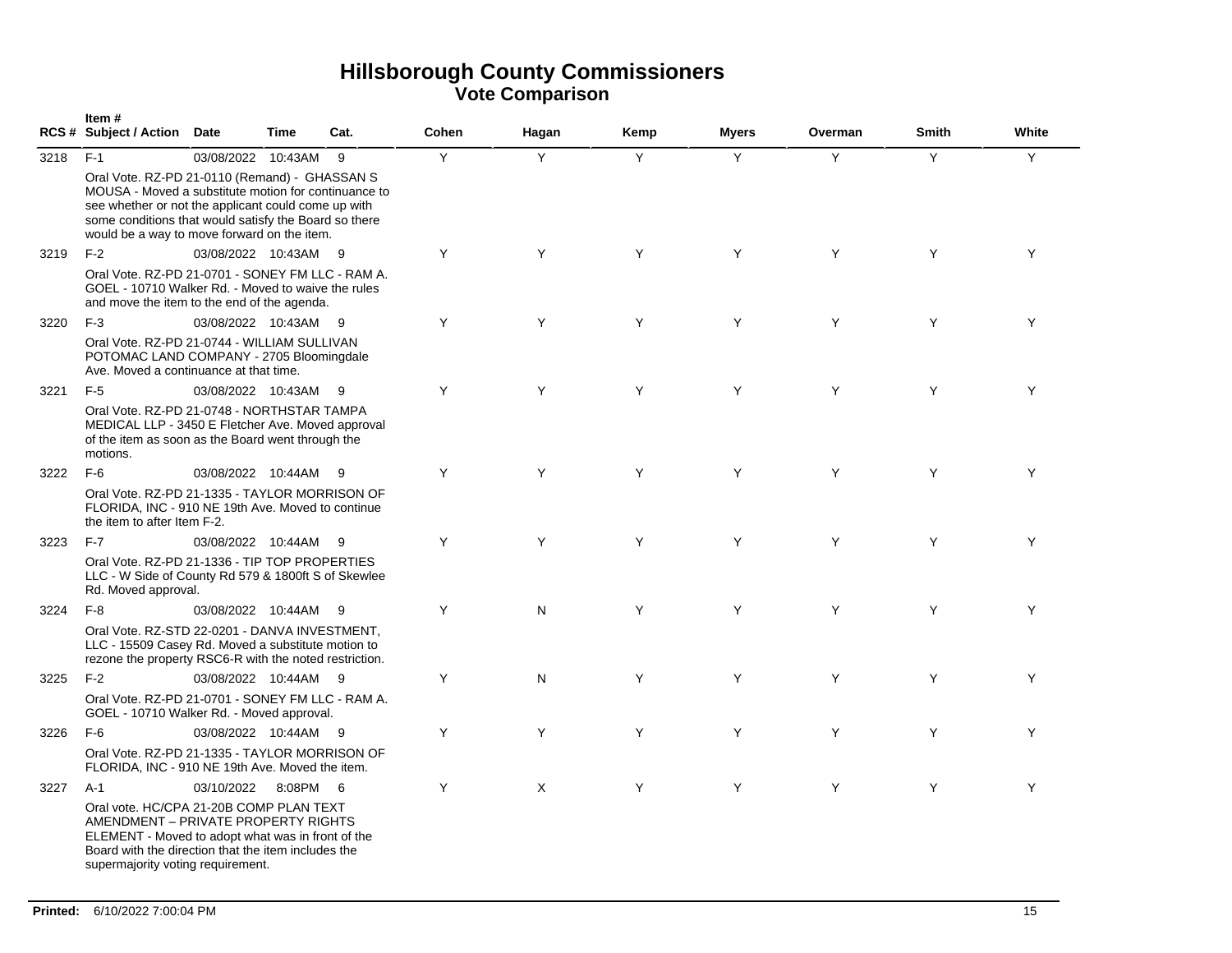|      | Item#<br>RCS # Subject / Action Date                                                                                                                                                                                                                                 |                      | Time   | Cat. | Cohen | Hagan    | Kemp | <b>Myers</b> | Overman | <b>Smith</b> | White |
|------|----------------------------------------------------------------------------------------------------------------------------------------------------------------------------------------------------------------------------------------------------------------------|----------------------|--------|------|-------|----------|------|--------------|---------|--------------|-------|
| 3218 | $F-1$                                                                                                                                                                                                                                                                | 03/08/2022 10:43AM   |        | -9   | Y     | Y        | Y    | Y            | Y       | Y            | Y     |
|      | Oral Vote. RZ-PD 21-0110 (Remand) - GHASSAN S<br>MOUSA - Moved a substitute motion for continuance to<br>see whether or not the applicant could come up with<br>some conditions that would satisfy the Board so there<br>would be a way to move forward on the item. |                      |        |      |       |          |      |              |         |              |       |
| 3219 | $F-2$                                                                                                                                                                                                                                                                | 03/08/2022 10:43AM 9 |        |      | Y     | Y        | Y    | Y            | Y       | Y            | Y     |
|      | Oral Vote, RZ-PD 21-0701 - SONEY FM LLC - RAM A.<br>GOEL - 10710 Walker Rd. - Moved to waive the rules<br>and move the item to the end of the agenda.                                                                                                                |                      |        |      |       |          |      |              |         |              |       |
| 3220 | $F-3$                                                                                                                                                                                                                                                                | 03/08/2022 10:43AM 9 |        |      | Y     | Y        | Y    | Y            | Y       | Y            | Y     |
|      | Oral Vote, RZ-PD 21-0744 - WILLIAM SULLIVAN<br>POTOMAC LAND COMPANY - 2705 Bloomingdale<br>Ave. Moved a continuance at that time.                                                                                                                                    |                      |        |      |       |          |      |              |         |              |       |
| 3221 | $F-5$                                                                                                                                                                                                                                                                | 03/08/2022 10:43AM 9 |        |      | Y     | Y        | Y    | Y            | Y       | Y            | Y     |
|      | Oral Vote. RZ-PD 21-0748 - NORTHSTAR TAMPA<br>MEDICAL LLP - 3450 E Fletcher Ave. Moved approval<br>of the item as soon as the Board went through the<br>motions.                                                                                                     |                      |        |      |       |          |      |              |         |              |       |
| 3222 | $F-6$                                                                                                                                                                                                                                                                | 03/08/2022 10:44AM 9 |        |      | Y     | Y        | Y    | Y            | Y       | Y            | Y     |
|      | Oral Vote. RZ-PD 21-1335 - TAYLOR MORRISON OF<br>FLORIDA, INC - 910 NE 19th Ave. Moved to continue<br>the item to after Item F-2.                                                                                                                                    |                      |        |      |       |          |      |              |         |              |       |
| 3223 | $F-7$                                                                                                                                                                                                                                                                | 03/08/2022 10:44AM   |        | - 9  | Y     | Y        | Y    | Y            | Y       | Y            | Y     |
|      | Oral Vote, RZ-PD 21-1336 - TIP TOP PROPERTIES<br>LLC - W Side of County Rd 579 & 1800ft S of Skewlee<br>Rd. Moved approval.                                                                                                                                          |                      |        |      |       |          |      |              |         |              |       |
| 3224 | $F-8$                                                                                                                                                                                                                                                                | 03/08/2022 10:44AM 9 |        |      | Y     | N        | Y    | Y            | Y       | Y            | Y     |
|      | Oral Vote. RZ-STD 22-0201 - DANVA INVESTMENT,<br>LLC - 15509 Casey Rd. Moved a substitute motion to<br>rezone the property RSC6-R with the noted restriction.                                                                                                        |                      |        |      |       |          |      |              |         |              |       |
| 3225 | $F-2$                                                                                                                                                                                                                                                                | 03/08/2022 10:44AM 9 |        |      | Y     | N        | Y    | Y            | Y       | Y            | Y     |
|      | Oral Vote. RZ-PD 21-0701 - SONEY FM LLC - RAM A.<br>GOEL - 10710 Walker Rd. - Moved approval.                                                                                                                                                                        |                      |        |      |       |          |      |              |         |              |       |
| 3226 | $F-6$                                                                                                                                                                                                                                                                | 03/08/2022 10:44AM 9 |        |      | Y     | Y        | Y    | Y            | Y       | Y            | Y     |
|      | Oral Vote, RZ-PD 21-1335 - TAYLOR MORRISON OF<br>FLORIDA, INC - 910 NE 19th Ave. Moved the item.                                                                                                                                                                     |                      |        |      |       |          |      |              |         |              |       |
| 3227 | $A-1$                                                                                                                                                                                                                                                                | 03/10/2022           | 8:08PM | - 6  | Y     | $\times$ | Y    | Y            | Y       | Y            | Y     |
|      | Oral vote. HC/CPA 21-20B COMP PLAN TEXT<br>AMENDMENT - PRIVATE PROPERTY RIGHTS<br>ELEMENT - Moved to adopt what was in front of the<br>Board with the direction that the item includes the<br>supermajority voting requirement.                                      |                      |        |      |       |          |      |              |         |              |       |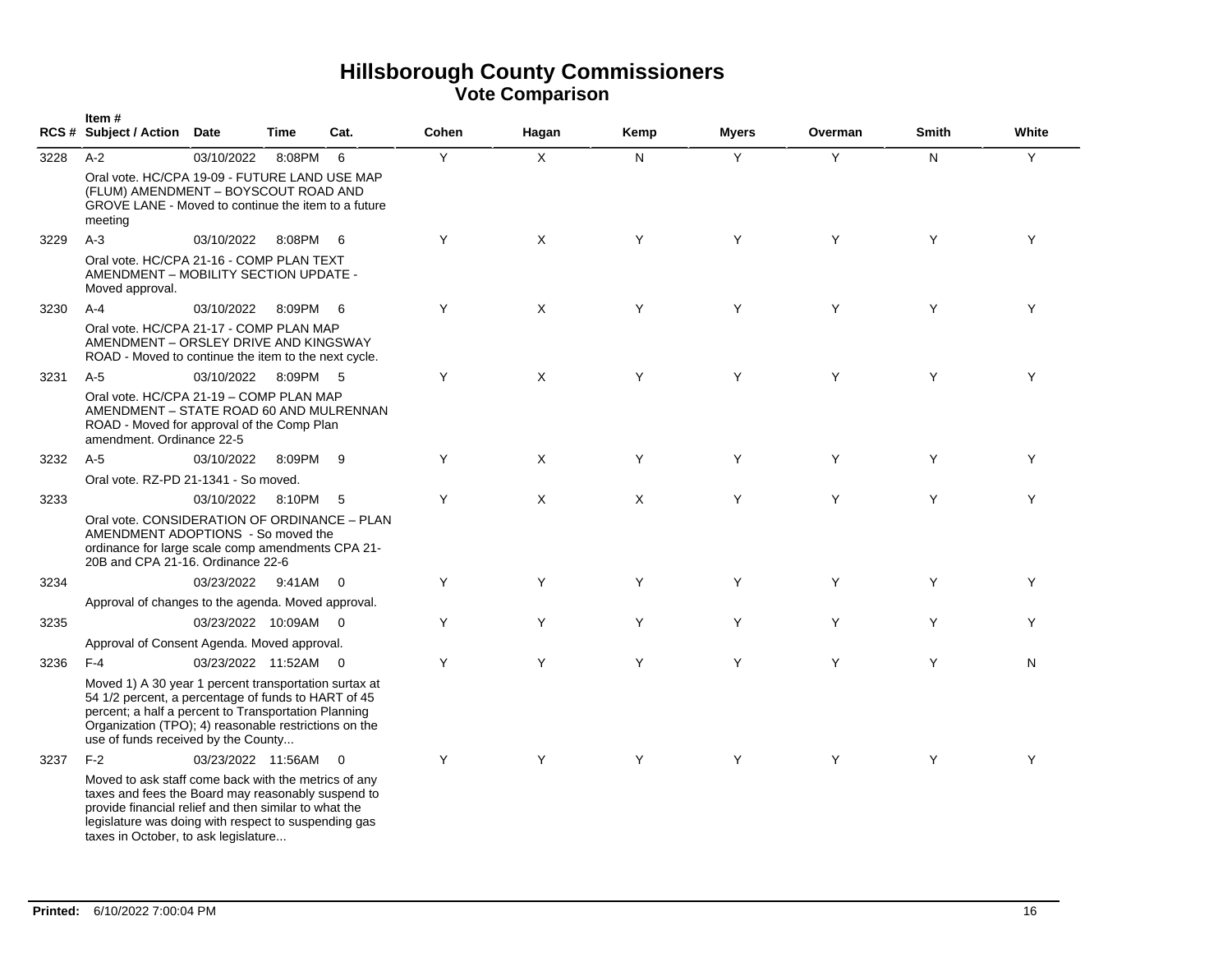|      | Item#<br>RCS # Subject / Action Date                                                                                                                                                                                                                                 |                      | <b>Time</b> | Cat.           | Cohen | Hagan        | Kemp | <b>Myers</b> | Overman | <b>Smith</b> | White |
|------|----------------------------------------------------------------------------------------------------------------------------------------------------------------------------------------------------------------------------------------------------------------------|----------------------|-------------|----------------|-------|--------------|------|--------------|---------|--------------|-------|
| 3228 | $A-2$                                                                                                                                                                                                                                                                | 03/10/2022           | 8:08PM      | 6              | Υ     | $\mathsf X$  | N    | Y            | Y       | N            | Y     |
|      | Oral vote, HC/CPA 19-09 - FUTURE LAND USE MAP<br>(FLUM) AMENDMENT - BOYSCOUT ROAD AND<br>GROVE LANE - Moved to continue the item to a future<br>meeting                                                                                                              |                      |             |                |       |              |      |              |         |              |       |
| 3229 | $A-3$                                                                                                                                                                                                                                                                | 03/10/2022           | 8:08PM      | - 6            | Y     | $\mathsf{X}$ | Y    | Y            | Y       | Y            | Y     |
|      | Oral vote, HC/CPA 21-16 - COMP PLAN TEXT<br>AMENDMENT - MOBILITY SECTION UPDATE -<br>Moved approval.                                                                                                                                                                 |                      |             |                |       |              |      |              |         |              |       |
| 3230 | $A-4$                                                                                                                                                                                                                                                                | 03/10/2022           | 8:09PM      | - 6            | Y     | X            | Y    | Y            | Y       | Y            | Y     |
|      | Oral vote, HC/CPA 21-17 - COMP PLAN MAP<br>AMENDMENT - ORSLEY DRIVE AND KINGSWAY<br>ROAD - Moved to continue the item to the next cycle.                                                                                                                             |                      |             |                |       |              |      |              |         |              |       |
| 3231 | $A-5$                                                                                                                                                                                                                                                                | 03/10/2022           | 8:09PM 5    |                | Υ     | X            | Y    | Y            | Y       | Y            | Y     |
|      | Oral vote, HC/CPA 21-19 - COMP PLAN MAP<br>AMENDMENT - STATE ROAD 60 AND MULRENNAN<br>ROAD - Moved for approval of the Comp Plan<br>amendment. Ordinance 22-5                                                                                                        |                      |             |                |       |              |      |              |         |              |       |
| 3232 | $A-5$                                                                                                                                                                                                                                                                | 03/10/2022           | 8:09PM 9    |                | Y     | X            | Y    | Y            | Y       | Y            | Y     |
|      | Oral vote, RZ-PD 21-1341 - So moved.                                                                                                                                                                                                                                 |                      |             |                |       |              |      |              |         |              |       |
| 3233 |                                                                                                                                                                                                                                                                      | 03/10/2022           | 8:10PM 5    |                | Y     | X            | X    | Y            | Y       | Y            | Y     |
|      | Oral vote, CONSIDERATION OF ORDINANCE - PLAN<br>AMENDMENT ADOPTIONS - So moved the<br>ordinance for large scale comp amendments CPA 21-<br>20B and CPA 21-16. Ordinance 22-6                                                                                         |                      |             |                |       |              |      |              |         |              |       |
| 3234 |                                                                                                                                                                                                                                                                      | 03/23/2022           | 9:41AM 0    |                | Y     | Y            | Y    | Y            | Y       | Y            | Y     |
|      | Approval of changes to the agenda. Moved approval.                                                                                                                                                                                                                   |                      |             |                |       |              |      |              |         |              |       |
| 3235 |                                                                                                                                                                                                                                                                      | 03/23/2022 10:09AM 0 |             |                | Y     | Y            | Y    | Y            | Y       | Y            | Y     |
|      | Approval of Consent Agenda. Moved approval.                                                                                                                                                                                                                          |                      |             |                |       |              |      |              |         |              |       |
| 3236 | $F-4$                                                                                                                                                                                                                                                                | 03/23/2022 11:52AM   |             | $\overline{0}$ | Y     | Y            | Y    | Y            | Y       | Y            | N     |
|      | Moved 1) A 30 year 1 percent transportation surtax at<br>54 1/2 percent, a percentage of funds to HART of 45<br>percent; a half a percent to Transportation Planning<br>Organization (TPO); 4) reasonable restrictions on the<br>use of funds received by the County |                      |             |                |       |              |      |              |         |              |       |
| 3237 | $F-2$                                                                                                                                                                                                                                                                | 03/23/2022 11:56AM   |             | $\overline{0}$ | Y     | Y            | Y    | Y            | Y       | Y            | Y     |
|      | Moved to ask staff come back with the metrics of any<br>taxes and fees the Board may reasonably suspend to<br>provide financial relief and then similar to what the<br>legislature was doing with respect to suspending gas<br>taxes in October, to ask legislature  |                      |             |                |       |              |      |              |         |              |       |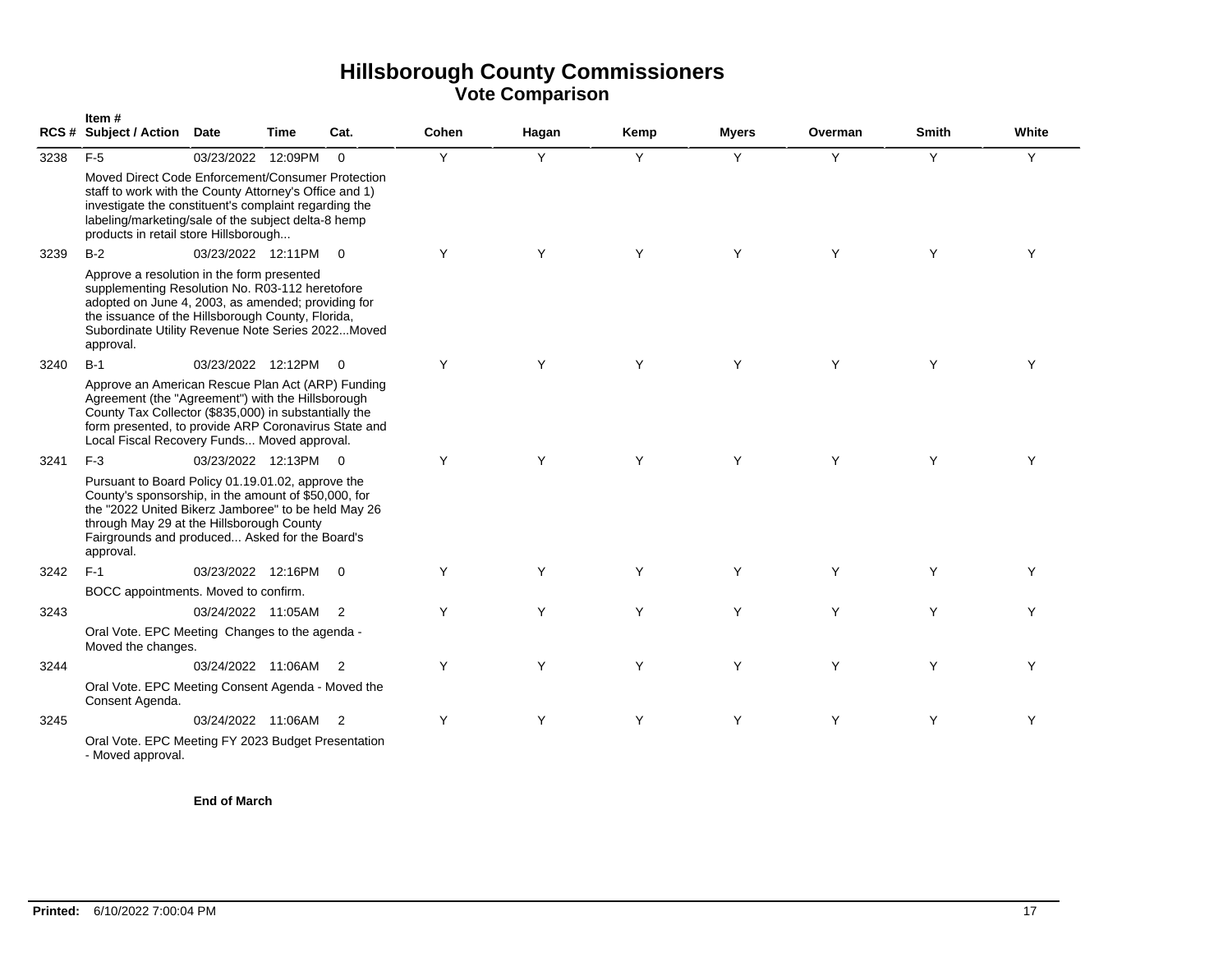|      | Item#<br>RCS # Subject / Action Date                                                                                                                                                                                                                                         |                      | Time | Cat.           | Cohen | Hagan | Kemp | <b>Myers</b> | Overman | <b>Smith</b> | White |
|------|------------------------------------------------------------------------------------------------------------------------------------------------------------------------------------------------------------------------------------------------------------------------------|----------------------|------|----------------|-------|-------|------|--------------|---------|--------------|-------|
| 3238 | $F-5$                                                                                                                                                                                                                                                                        | 03/23/2022 12:09PM   |      | $\Omega$       | Y     | Y     | Y    | Y            | Y       | Y            | Y     |
|      | Moved Direct Code Enforcement/Consumer Protection<br>staff to work with the County Attorney's Office and 1)<br>investigate the constituent's complaint regarding the<br>labeling/marketing/sale of the subject delta-8 hemp<br>products in retail store Hillsborough         |                      |      |                |       |       |      |              |         |              |       |
| 3239 | $B-2$                                                                                                                                                                                                                                                                        | 03/23/2022 12:11PM   |      | $\overline{0}$ | Y     | Y     | Y    | Y            | Y       | Y            | Y     |
|      | Approve a resolution in the form presented<br>supplementing Resolution No. R03-112 heretofore<br>adopted on June 4, 2003, as amended; providing for<br>the issuance of the Hillsborough County, Florida,<br>Subordinate Utility Revenue Note Series 2022Moved<br>approval.   |                      |      |                |       |       |      |              |         |              |       |
| 3240 | $B-1$                                                                                                                                                                                                                                                                        | 03/23/2022 12:12PM   |      | $\overline{0}$ | Y     | Y     | Y    | Y            | Y       | Y            | Y     |
|      | Approve an American Rescue Plan Act (ARP) Funding<br>Agreement (the "Agreement") with the Hillsborough<br>County Tax Collector (\$835,000) in substantially the<br>form presented, to provide ARP Coronavirus State and<br>Local Fiscal Recovery Funds Moved approval.       |                      |      |                |       |       |      |              |         |              |       |
| 3241 | $F-3$                                                                                                                                                                                                                                                                        | 03/23/2022 12:13PM 0 |      |                | Y     | Y     | Y    | Y            | Y       | Y            | Υ     |
|      | Pursuant to Board Policy 01.19.01.02, approve the<br>County's sponsorship, in the amount of \$50,000, for<br>the "2022 United Bikerz Jamboree" to be held May 26<br>through May 29 at the Hillsborough County<br>Fairgrounds and produced Asked for the Board's<br>approval. |                      |      |                |       |       |      |              |         |              |       |
| 3242 | $F-1$                                                                                                                                                                                                                                                                        | 03/23/2022 12:16PM   |      | $\overline{0}$ | Y     | Y     | Y    | Y            | Y       | Y            | Y     |
|      | BOCC appointments. Moved to confirm.                                                                                                                                                                                                                                         |                      |      |                |       |       |      |              |         |              |       |
| 3243 |                                                                                                                                                                                                                                                                              | 03/24/2022 11:05AM   |      | $\overline{2}$ | Y     | Y     | Y    | Y            | Y       | Y            | Y     |
|      | Oral Vote. EPC Meeting Changes to the agenda -<br>Moved the changes.                                                                                                                                                                                                         |                      |      |                |       |       |      |              |         |              |       |
| 3244 |                                                                                                                                                                                                                                                                              | 03/24/2022 11:06AM   |      | $\overline{2}$ | Y     | Y     | Y    | Y            | Y       | Y            | Y     |
|      | Oral Vote. EPC Meeting Consent Agenda - Moved the<br>Consent Agenda.                                                                                                                                                                                                         |                      |      |                |       |       |      |              |         |              |       |
| 3245 |                                                                                                                                                                                                                                                                              | 03/24/2022 11:06AM   |      | $\overline{2}$ | Y     | Y     | Y    | Y            | Y       | Y            | Y     |
|      | Oral Vote. EPC Meeting FY 2023 Budget Presentation<br>- Moved approval.                                                                                                                                                                                                      |                      |      |                |       |       |      |              |         |              |       |

**End of March**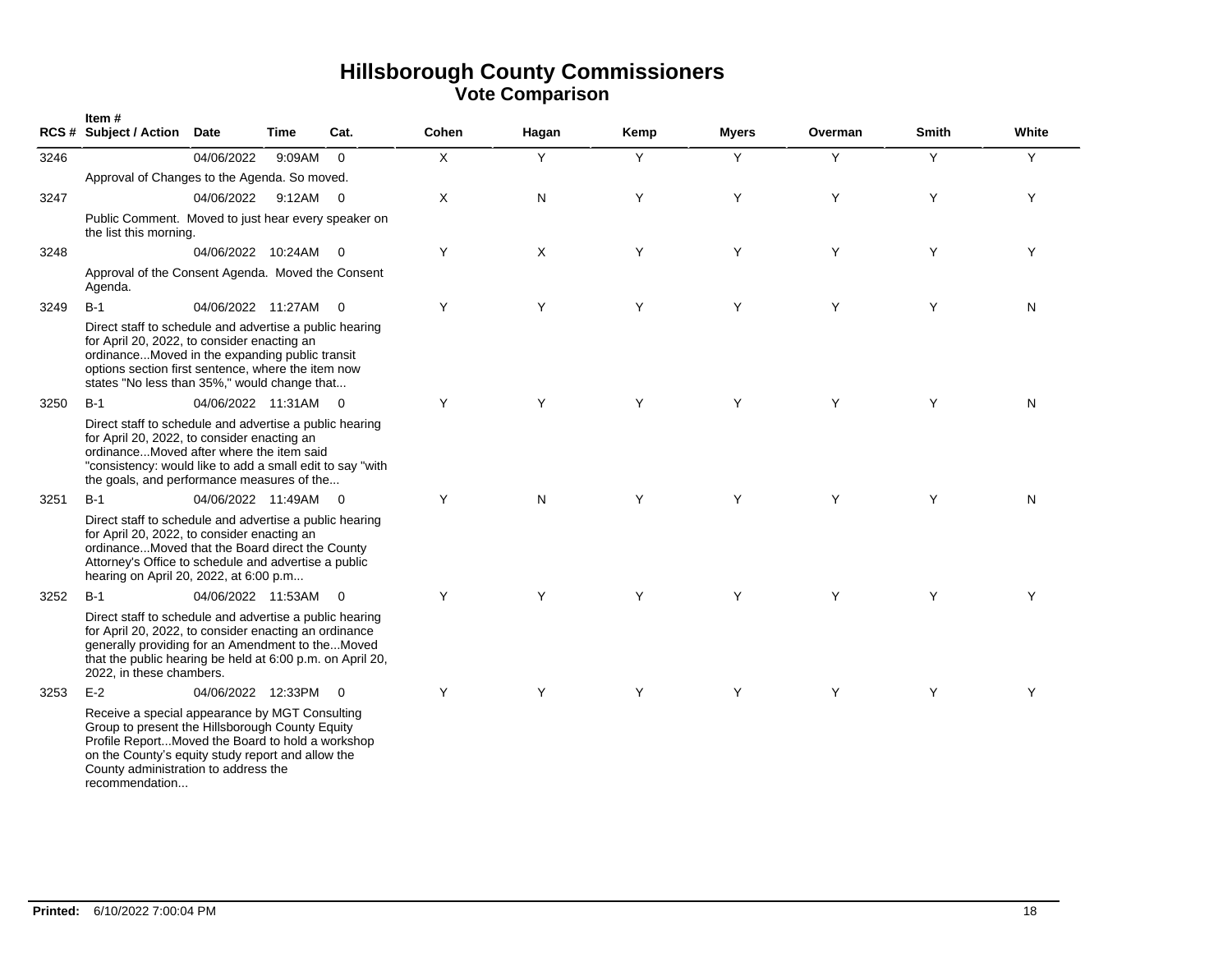|      | Item#<br><b>RCS # Subject / Action</b>                                                                                                                                                                                                                               | <b>Date</b>          | Time   | Cat.                     | Cohen | Hagan | Kemp | <b>Myers</b> | Overman | <b>Smith</b> | White |
|------|----------------------------------------------------------------------------------------------------------------------------------------------------------------------------------------------------------------------------------------------------------------------|----------------------|--------|--------------------------|-------|-------|------|--------------|---------|--------------|-------|
| 3246 |                                                                                                                                                                                                                                                                      | 04/06/2022           | 9:09AM | $\Omega$                 | X     | Y     | Y    | Y            | Y       | Y            | Y     |
|      | Approval of Changes to the Agenda. So moved.                                                                                                                                                                                                                         |                      |        |                          |       |       |      |              |         |              |       |
| 3247 |                                                                                                                                                                                                                                                                      | 04/06/2022           | 9:12AM | $\overline{0}$           | X     | N     | Y    | Y            | Y       | Y            | Y     |
|      | Public Comment. Moved to just hear every speaker on<br>the list this morning.                                                                                                                                                                                        |                      |        |                          |       |       |      |              |         |              |       |
| 3248 |                                                                                                                                                                                                                                                                      | 04/06/2022 10:24AM   |        | $\overline{0}$           | Y     | X     | Y    | Y            | Y       | Y            | Y     |
|      | Approval of the Consent Agenda. Moved the Consent<br>Agenda.                                                                                                                                                                                                         |                      |        |                          |       |       |      |              |         |              |       |
| 3249 | $B-1$                                                                                                                                                                                                                                                                | 04/06/2022 11:27AM   |        | $\overline{\mathbf{0}}$  | Y     | Y     | Y    | Y            | Y       | Y            | N     |
|      | Direct staff to schedule and advertise a public hearing<br>for April 20, 2022, to consider enacting an<br>ordinanceMoved in the expanding public transit<br>options section first sentence, where the item now<br>states "No less than 35%," would change that       |                      |        |                          |       |       |      |              |         |              |       |
| 3250 | $B-1$                                                                                                                                                                                                                                                                | 04/06/2022 11:31AM 0 |        |                          | Y     | Y     | Y    | Y            | Y       | Y            | N     |
|      | Direct staff to schedule and advertise a public hearing<br>for April 20, 2022, to consider enacting an<br>ordinanceMoved after where the item said<br>"consistency: would like to add a small edit to say "with<br>the goals, and performance measures of the        |                      |        |                          |       |       |      |              |         |              |       |
| 3251 | $B-1$                                                                                                                                                                                                                                                                | 04/06/2022 11:49AM 0 |        |                          | Y     | N     | Y    | Y            | Y       | Y            | N     |
|      | Direct staff to schedule and advertise a public hearing<br>for April 20, 2022, to consider enacting an<br>ordinanceMoved that the Board direct the County<br>Attorney's Office to schedule and advertise a public<br>hearing on April 20, 2022, at 6:00 p.m          |                      |        |                          |       |       |      |              |         |              |       |
| 3252 | $B-1$                                                                                                                                                                                                                                                                | 04/06/2022 11:53AM 0 |        |                          | Y     | Y     | Y    | Y            | Y       | Y            | Y     |
|      | Direct staff to schedule and advertise a public hearing<br>for April 20, 2022, to consider enacting an ordinance<br>generally providing for an Amendment to theMoved<br>that the public hearing be held at 6:00 p.m. on April 20,<br>2022, in these chambers.        |                      |        |                          |       |       |      |              |         |              |       |
| 3253 | $E-2$                                                                                                                                                                                                                                                                | 04/06/2022 12:33PM   |        | $\overline{\phantom{0}}$ | Y     | Y     | Y    | Y            | Y       | Y            | Y     |
|      | Receive a special appearance by MGT Consulting<br>Group to present the Hillsborough County Equity<br>Profile ReportMoved the Board to hold a workshop<br>on the County's equity study report and allow the<br>County administration to address the<br>recommendation |                      |        |                          |       |       |      |              |         |              |       |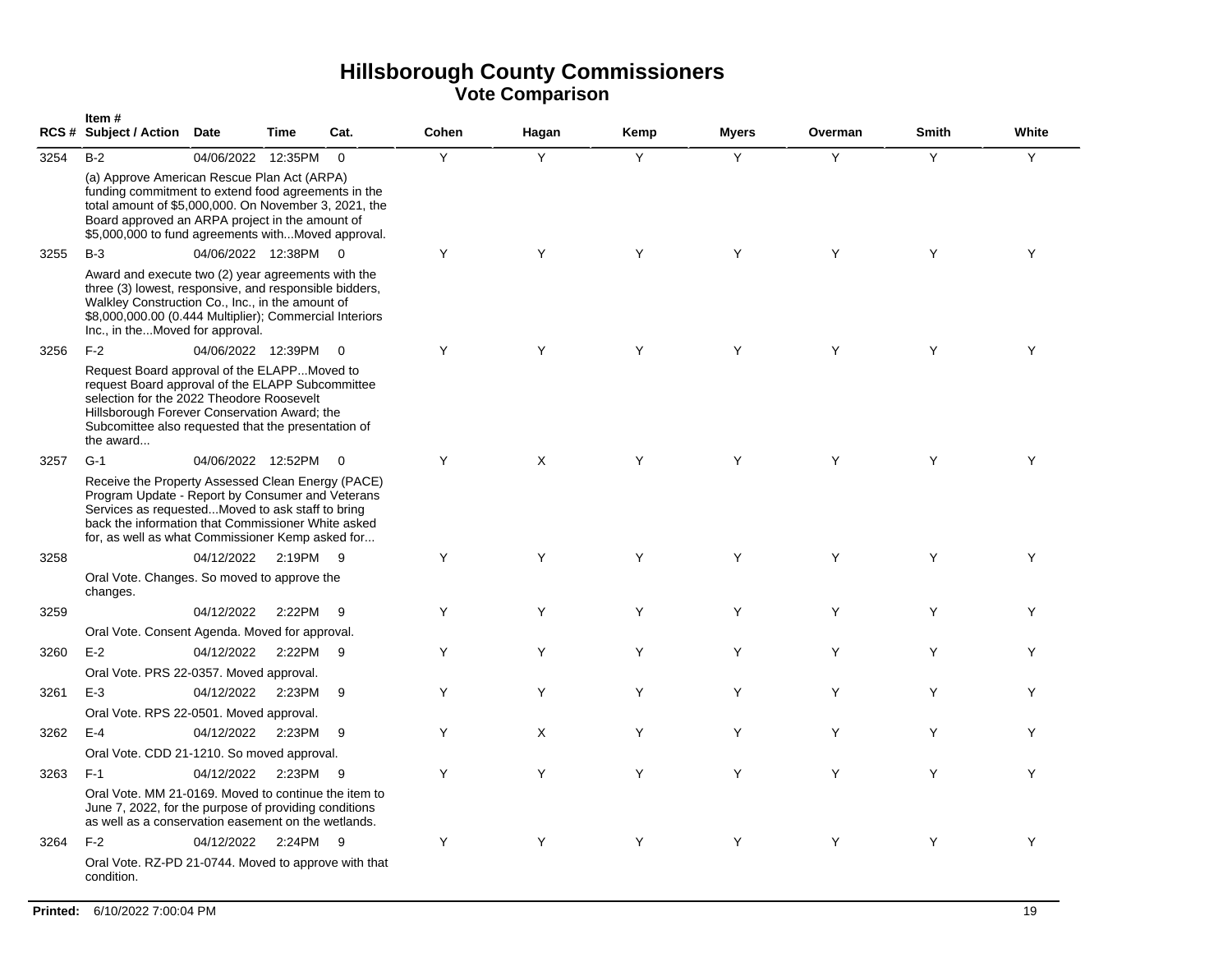|      | Item#<br>RCS # Subject / Action Date                                                                                                                                                                                                                                 |                      | <b>Time</b> | Cat.           | Cohen | Hagan | Kemp | <b>Myers</b> | Overman | <b>Smith</b> | White |
|------|----------------------------------------------------------------------------------------------------------------------------------------------------------------------------------------------------------------------------------------------------------------------|----------------------|-------------|----------------|-------|-------|------|--------------|---------|--------------|-------|
| 3254 | $B-2$                                                                                                                                                                                                                                                                | 04/06/2022 12:35PM   |             | $\overline{0}$ | Y     | Y     | Y    | Y            | Y       | Y            | Y     |
|      | (a) Approve American Rescue Plan Act (ARPA)<br>funding commitment to extend food agreements in the<br>total amount of \$5,000,000. On November 3, 2021, the<br>Board approved an ARPA project in the amount of<br>\$5,000,000 to fund agreements withMoved approval. |                      |             |                |       |       |      |              |         |              |       |
| 3255 | $B-3$                                                                                                                                                                                                                                                                | 04/06/2022 12:38PM 0 |             |                | Y     | Y     | Y    | Y            | Y       | Y            | Υ     |
|      | Award and execute two (2) year agreements with the<br>three (3) lowest, responsive, and responsible bidders,<br>Walkley Construction Co., Inc., in the amount of<br>\$8,000,000.00 (0.444 Multiplier); Commercial Interiors<br>Inc., in theMoved for approval.       |                      |             |                |       |       |      |              |         |              |       |
| 3256 | $F-2$                                                                                                                                                                                                                                                                | 04/06/2022 12:39PM   |             | $\overline{0}$ | Y     | Y     | Y    | Y            | Y       | Y            | Y     |
|      | Request Board approval of the ELAPPMoved to<br>request Board approval of the ELAPP Subcommittee<br>selection for the 2022 Theodore Roosevelt<br>Hillsborough Forever Conservation Award; the<br>Subcomittee also requested that the presentation of<br>the award     |                      |             |                |       |       |      |              |         |              |       |
| 3257 | $G-1$                                                                                                                                                                                                                                                                | 04/06/2022 12:52PM   |             | $\overline{0}$ | Y     | X     | Y    | Y            | Y       | Y            | Υ     |
|      | Receive the Property Assessed Clean Energy (PACE)<br>Program Update - Report by Consumer and Veterans<br>Services as requestedMoved to ask staff to bring<br>back the information that Commissioner White asked<br>for, as well as what Commissioner Kemp asked for  |                      |             |                |       |       |      |              |         |              |       |
| 3258 |                                                                                                                                                                                                                                                                      | 04/12/2022           | 2:19PM 9    |                | Y     | Y     | Y    | Y            | Y       | Y            | Y     |
|      | Oral Vote. Changes. So moved to approve the<br>changes.                                                                                                                                                                                                              |                      |             |                |       |       |      |              |         |              |       |
| 3259 |                                                                                                                                                                                                                                                                      | 04/12/2022           | 2:22PM      | - 9            | Y     | Υ     | Y    | Y            | Y       | Y            | Y     |
|      | Oral Vote. Consent Agenda. Moved for approval.                                                                                                                                                                                                                       |                      |             |                |       |       |      |              |         |              |       |
| 3260 | $E-2$                                                                                                                                                                                                                                                                | 04/12/2022           | 2:22PM      | 9              | Y     | Y     | Y    | Y            | Y       | Y            | Y     |
|      | Oral Vote. PRS 22-0357. Moved approval.                                                                                                                                                                                                                              |                      |             |                |       |       |      |              |         |              |       |
| 3261 | $E-3$                                                                                                                                                                                                                                                                | 04/12/2022           | 2:23PM      | - 9            | Y     | Y     | Y    | Y            | Y       | Y            | Y     |
|      | Oral Vote. RPS 22-0501. Moved approval.                                                                                                                                                                                                                              |                      |             |                |       |       |      |              |         |              |       |
| 3262 | $E-4$                                                                                                                                                                                                                                                                | 04/12/2022           | 2:23PM      | -9             | Y     | X     | Y    | Y            | Y       | Y            | Y     |
|      | Oral Vote. CDD 21-1210. So moved approval.                                                                                                                                                                                                                           |                      |             |                |       |       |      |              |         |              |       |
| 3263 | $F-1$                                                                                                                                                                                                                                                                | 04/12/2022           | 2:23PM      | - 9            | Y     | Y     | Y    | Y            | Y       | Y            | Y     |
|      | Oral Vote, MM 21-0169. Moved to continue the item to<br>June 7, 2022, for the purpose of providing conditions<br>as well as a conservation easement on the wetlands.                                                                                                 |                      |             |                |       |       |      |              |         |              |       |
| 3264 | $F-2$                                                                                                                                                                                                                                                                | 04/12/2022           | 2:24PM 9    |                | Y     | Y     | Y    | Y            | Y       | Y            | Y     |
|      | Oral Vote. RZ-PD 21-0744. Moved to approve with that<br>condition.                                                                                                                                                                                                   |                      |             |                |       |       |      |              |         |              |       |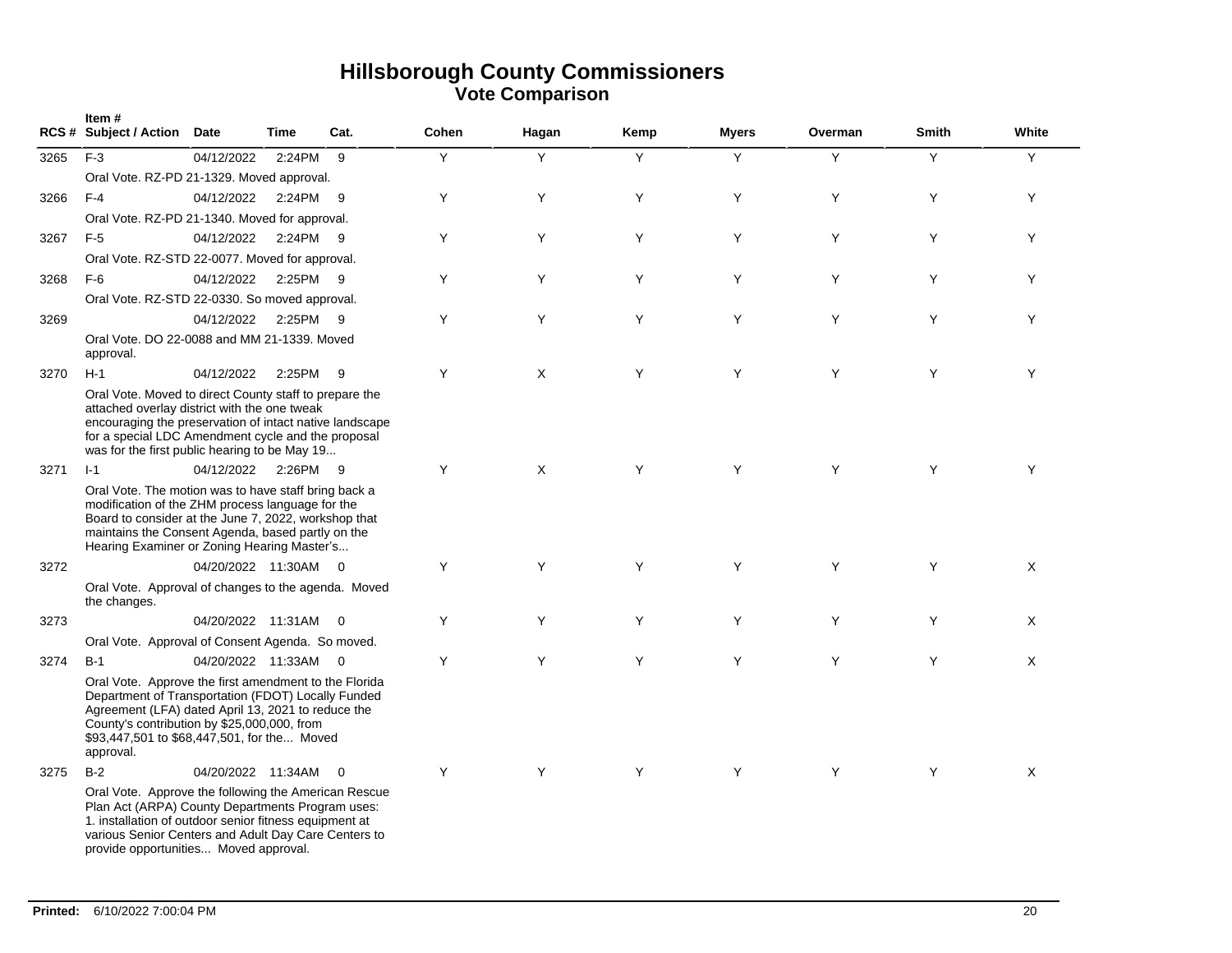|      | Item#<br>RCS # Subject / Action                                                                                                                                                                                                                                              | Date                 | <b>Time</b> | Cat.           | Cohen | Hagan | Kemp | <b>Myers</b> | Overman | <b>Smith</b> | White |
|------|------------------------------------------------------------------------------------------------------------------------------------------------------------------------------------------------------------------------------------------------------------------------------|----------------------|-------------|----------------|-------|-------|------|--------------|---------|--------------|-------|
| 3265 | $F-3$                                                                                                                                                                                                                                                                        | 04/12/2022           | 2:24PM      | 9              | Y     | Y     | Y    | Y            | Y       | Y            | Y     |
|      | Oral Vote. RZ-PD 21-1329. Moved approval.                                                                                                                                                                                                                                    |                      |             |                |       |       |      |              |         |              |       |
| 3266 | $F-4$                                                                                                                                                                                                                                                                        | 04/12/2022           | 2:24PM 9    |                | Y     | Y     | Y    | Y            | Y       | Y            | Y     |
|      | Oral Vote. RZ-PD 21-1340. Moved for approval.                                                                                                                                                                                                                                |                      |             |                |       |       |      |              |         |              |       |
| 3267 | $F-5$                                                                                                                                                                                                                                                                        | 04/12/2022           | 2:24PM 9    |                | Y     | Y     | Y    | Y            | Y       | Y            | Y     |
|      | Oral Vote. RZ-STD 22-0077. Moved for approval.                                                                                                                                                                                                                               |                      |             |                |       |       |      |              |         |              |       |
| 3268 | $F-6$                                                                                                                                                                                                                                                                        | 04/12/2022           | 2:25PM 9    |                | Y     | Y     | Υ    | Y            | Y       | Y            | Y     |
|      | Oral Vote. RZ-STD 22-0330. So moved approval.                                                                                                                                                                                                                                |                      |             |                |       |       |      |              |         |              |       |
| 3269 |                                                                                                                                                                                                                                                                              | 04/12/2022           | 2:25PM 9    |                | Y     | Y     | Y    | Y            | Y       | Y            | Y     |
|      | Oral Vote. DO 22-0088 and MM 21-1339. Moved<br>approval.                                                                                                                                                                                                                     |                      |             |                |       |       |      |              |         |              |       |
| 3270 | $H-1$                                                                                                                                                                                                                                                                        | 04/12/2022           | 2:25PM 9    |                | Y     | X     | Y    | Y            | Y       | Y            | Y     |
|      | Oral Vote. Moved to direct County staff to prepare the<br>attached overlay district with the one tweak<br>encouraging the preservation of intact native landscape<br>for a special LDC Amendment cycle and the proposal<br>was for the first public hearing to be May 19     |                      |             |                |       |       |      |              |         |              |       |
| 3271 | $I-1$                                                                                                                                                                                                                                                                        | 04/12/2022           | 2:26PM 9    |                | Y     | X     | Y    | Y            | Y       | Y            | Y     |
|      | Oral Vote. The motion was to have staff bring back a<br>modification of the ZHM process language for the<br>Board to consider at the June 7, 2022, workshop that<br>maintains the Consent Agenda, based partly on the<br>Hearing Examiner or Zoning Hearing Master's         |                      |             |                |       |       |      |              |         |              |       |
| 3272 |                                                                                                                                                                                                                                                                              | 04/20/2022 11:30AM 0 |             |                | Y     | Y     | Y    | Y            | Y       | Y            | X     |
|      | Oral Vote. Approval of changes to the agenda. Moved<br>the changes.                                                                                                                                                                                                          |                      |             |                |       |       |      |              |         |              |       |
| 3273 |                                                                                                                                                                                                                                                                              | 04/20/2022 11:31AM 0 |             |                | Y     | Y     | Y    | Y            | Y       | Y            | X     |
|      | Oral Vote. Approval of Consent Agenda. So moved.                                                                                                                                                                                                                             |                      |             |                |       |       |      |              |         |              |       |
| 3274 | $B-1$                                                                                                                                                                                                                                                                        | 04/20/2022 11:33AM 0 |             |                | Y     | Y     | Y    | Y            | Y       | Y            | X     |
|      | Oral Vote. Approve the first amendment to the Florida<br>Department of Transportation (FDOT) Locally Funded<br>Agreement (LFA) dated April 13, 2021 to reduce the<br>County's contribution by \$25,000,000, from<br>\$93,447,501 to \$68,447,501, for the Moved<br>approval. |                      |             |                |       |       |      |              |         |              |       |
| 3275 | $B-2$                                                                                                                                                                                                                                                                        | 04/20/2022 11:34AM   |             | $\overline{0}$ | Y     | Y     | Y    | Y            | Y       | Y            | X     |
|      | Oral Vote. Approve the following the American Rescue<br>Plan Act (ARPA) County Departments Program uses:<br>1. installation of outdoor senior fitness equipment at<br>various Senior Centers and Adult Day Care Centers to<br>provide opportunities Moved approval.          |                      |             |                |       |       |      |              |         |              |       |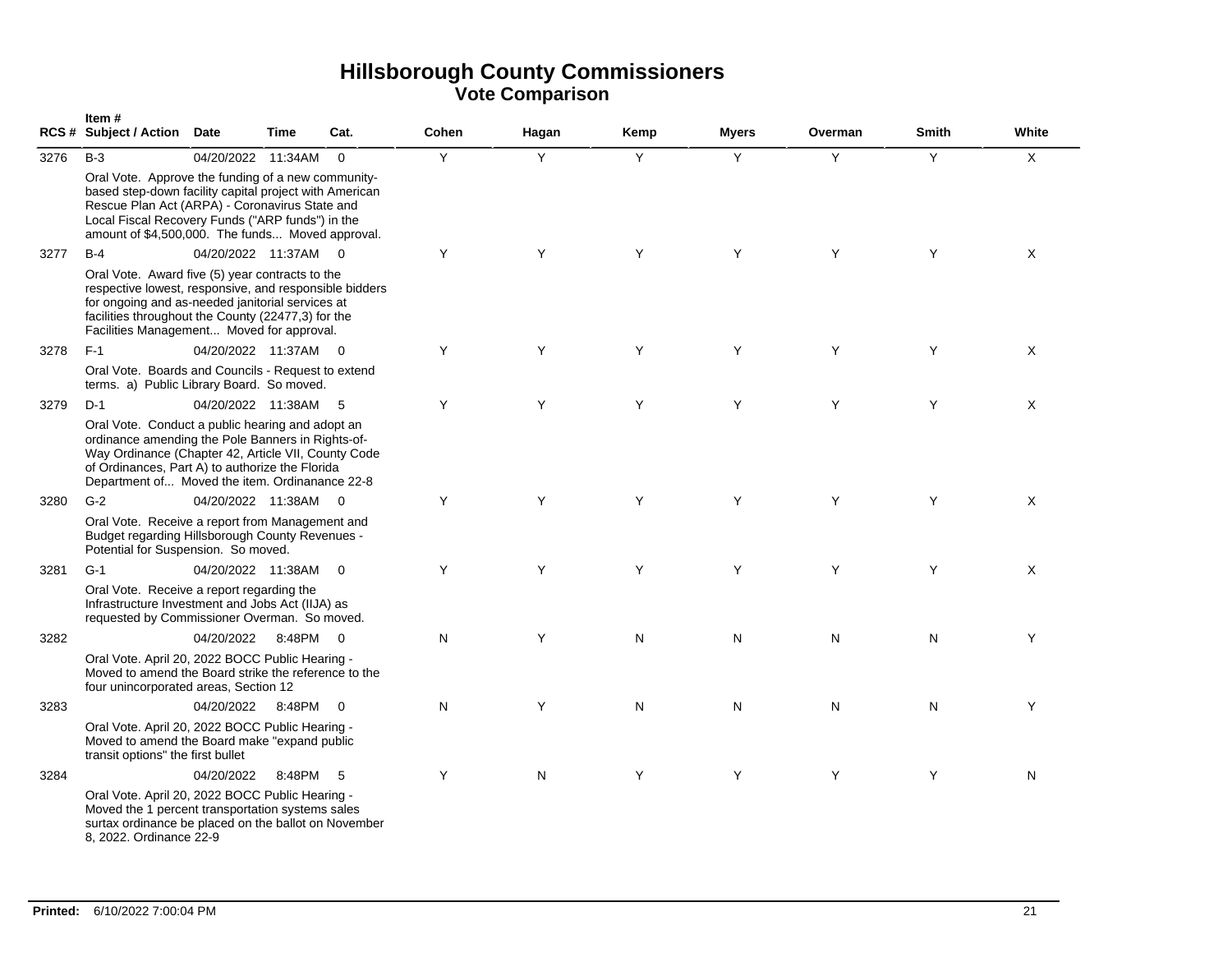|      | Item#<br>RCS # Subject / Action Date                                                                                                                                                                                                                                   |                      | Time   | Cat.           | Cohen | Hagan | Kemp | <b>Myers</b> | Overman | Smith | White          |
|------|------------------------------------------------------------------------------------------------------------------------------------------------------------------------------------------------------------------------------------------------------------------------|----------------------|--------|----------------|-------|-------|------|--------------|---------|-------|----------------|
| 3276 | $B-3$                                                                                                                                                                                                                                                                  | 04/20/2022 11:34AM   |        | $\overline{0}$ | Y     | Y     | Y    | Y            | Y       | Y     | $\pmb{\times}$ |
|      | Oral Vote. Approve the funding of a new community-<br>based step-down facility capital project with American<br>Rescue Plan Act (ARPA) - Coronavirus State and<br>Local Fiscal Recovery Funds ("ARP funds") in the<br>amount of \$4,500,000. The funds Moved approval. |                      |        |                |       |       |      |              |         |       |                |
| 3277 | $B-4$                                                                                                                                                                                                                                                                  | 04/20/2022 11:37AM   |        | $\overline{0}$ | Y     | Y     | Y    | Y            | Y       | Y     | X              |
|      | Oral Vote. Award five (5) year contracts to the<br>respective lowest, responsive, and responsible bidders<br>for ongoing and as-needed janitorial services at<br>facilities throughout the County (22477,3) for the<br>Facilities Management Moved for approval.       |                      |        |                |       |       |      |              |         |       |                |
| 3278 | $F-1$                                                                                                                                                                                                                                                                  | 04/20/2022 11:37AM 0 |        |                | Y     | Y     | Y    | Y            | Y       | Y     | X              |
|      | Oral Vote. Boards and Councils - Request to extend<br>terms. a) Public Library Board. So moved.                                                                                                                                                                        |                      |        |                |       |       |      |              |         |       |                |
| 3279 | $D-1$                                                                                                                                                                                                                                                                  | 04/20/2022 11:38AM   |        | - 5            | Y     | Y     | Y    | Y            | Y       | Y     | X              |
|      | Oral Vote. Conduct a public hearing and adopt an<br>ordinance amending the Pole Banners in Rights-of-<br>Way Ordinance (Chapter 42, Article VII, County Code<br>of Ordinances, Part A) to authorize the Florida<br>Department of Moved the item. Ordinanance 22-8      |                      |        |                |       |       |      |              |         |       |                |
| 3280 | $G-2$                                                                                                                                                                                                                                                                  | 04/20/2022 11:38AM   |        | $\overline{0}$ | Y     | Y     | Y    | Y            | Y       | Y     | X              |
|      | Oral Vote. Receive a report from Management and<br>Budget regarding Hillsborough County Revenues -<br>Potential for Suspension. So moved.                                                                                                                              |                      |        |                |       |       |      |              |         |       |                |
| 3281 | $G-1$                                                                                                                                                                                                                                                                  | 04/20/2022 11:38AM   |        | $\Omega$       | Y     | Y     | Y    | Y            | Y       | Y     | X              |
|      | Oral Vote. Receive a report regarding the<br>Infrastructure Investment and Jobs Act (IIJA) as<br>requested by Commissioner Overman. So moved.                                                                                                                          |                      |        |                |       |       |      |              |         |       |                |
| 3282 |                                                                                                                                                                                                                                                                        | 04/20/2022           | 8:48PM | $\overline{0}$ | N     | Y     | N    | N            | N       | N     | Y              |
|      | Oral Vote. April 20, 2022 BOCC Public Hearing -<br>Moved to amend the Board strike the reference to the<br>four unincorporated areas, Section 12                                                                                                                       |                      |        |                |       |       |      |              |         |       |                |
| 3283 |                                                                                                                                                                                                                                                                        | 04/20/2022           | 8:48PM | $\overline{0}$ | N     | Y     | N    | N            | N       | N     | Υ              |
|      | Oral Vote. April 20, 2022 BOCC Public Hearing -<br>Moved to amend the Board make "expand public<br>transit options" the first bullet                                                                                                                                   |                      |        |                |       |       |      |              |         |       |                |
| 3284 |                                                                                                                                                                                                                                                                        | 04/20/2022           | 8:48PM | - 5            | Y     | N     | Y    | Y            | Y       | Y     | N              |
|      | Oral Vote. April 20, 2022 BOCC Public Hearing -<br>Moved the 1 percent transportation systems sales<br>surtax ordinance be placed on the ballot on November<br>8, 2022. Ordinance 22-9                                                                                 |                      |        |                |       |       |      |              |         |       |                |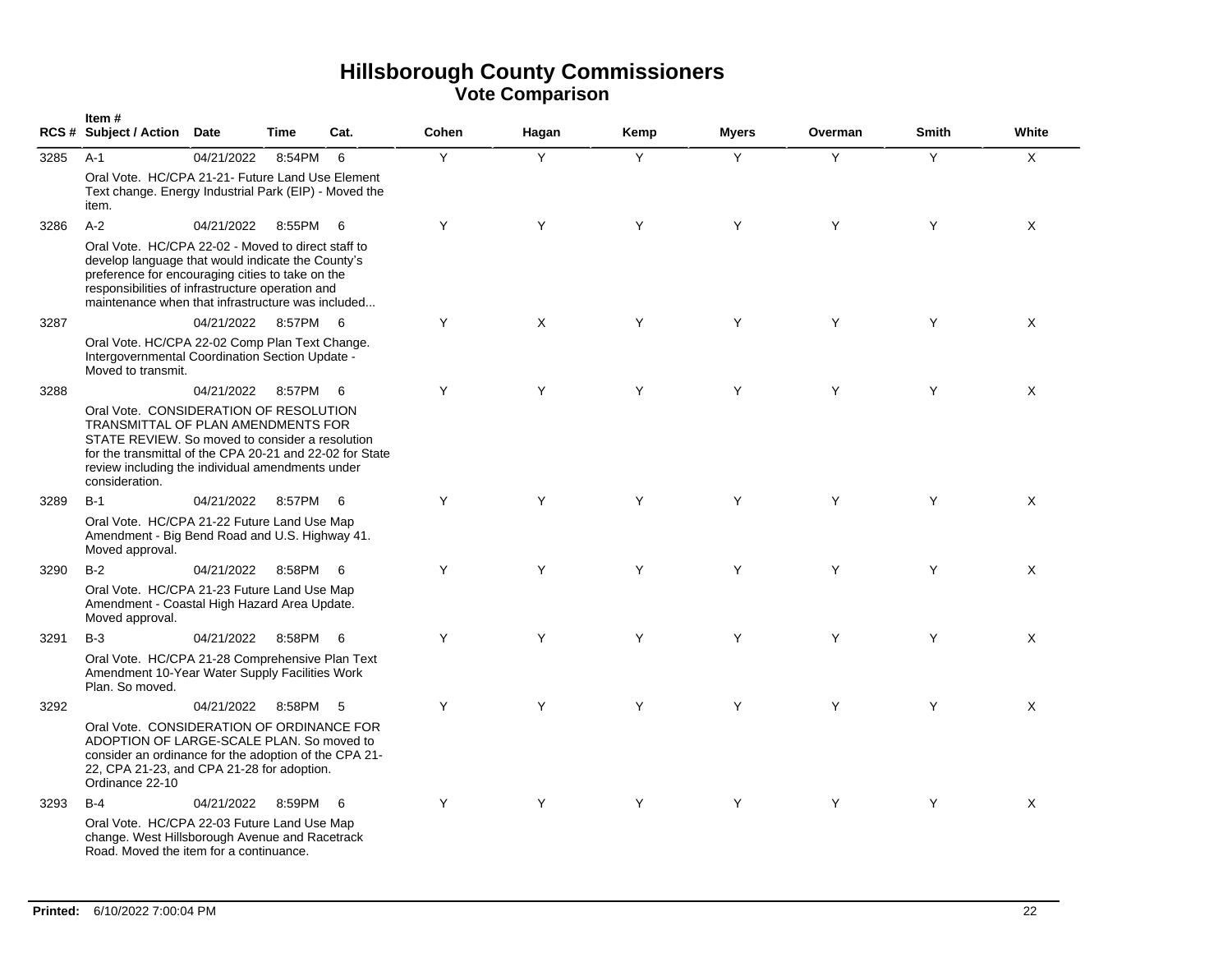|      | Item#<br>RCS # Subject / Action Date                                                                                                                                                                                                                                          |            | Time     | Cat. | Cohen | Hagan | Kemp | <b>Myers</b> | Overman | <b>Smith</b> | White       |
|------|-------------------------------------------------------------------------------------------------------------------------------------------------------------------------------------------------------------------------------------------------------------------------------|------------|----------|------|-------|-------|------|--------------|---------|--------------|-------------|
| 3285 | $A-1$<br>Oral Vote. HC/CPA 21-21- Future Land Use Element<br>Text change. Energy Industrial Park (EIP) - Moved the<br>item.                                                                                                                                                   | 04/21/2022 | 8:54PM   | 6    | Y     | Y     | Y    | Y            | Y       | Y            | $\mathsf X$ |
| 3286 | $A-2$<br>Oral Vote. HC/CPA 22-02 - Moved to direct staff to<br>develop language that would indicate the County's<br>preference for encouraging cities to take on the<br>responsibilities of infrastructure operation and<br>maintenance when that infrastructure was included | 04/21/2022 | 8:55PM   | - 6  | Y     | Y     | Y    | Y            | Y       | Y            | $\times$    |
| 3287 | Oral Vote. HC/CPA 22-02 Comp Plan Text Change.<br>Intergovernmental Coordination Section Update -<br>Moved to transmit.                                                                                                                                                       | 04/21/2022 | 8:57PM 6 |      | Y     | Χ     | Y    | Y            | Y       | Y            | Χ           |
| 3288 | Oral Vote. CONSIDERATION OF RESOLUTION<br>TRANSMITTAL OF PLAN AMENDMENTS FOR<br>STATE REVIEW. So moved to consider a resolution<br>for the transmittal of the CPA 20-21 and 22-02 for State<br>review including the individual amendments under<br>consideration.             | 04/21/2022 | 8:57PM   | - 6  | Y     | Y     | Y    | Y            | Y       | Y            | X           |
| 3289 | $B-1$<br>Oral Vote. HC/CPA 21-22 Future Land Use Map<br>Amendment - Big Bend Road and U.S. Highway 41.<br>Moved approval.                                                                                                                                                     | 04/21/2022 | 8:57PM   | - 6  | Y     | Y     | Y    | Y            | Y       | Y            | $\times$    |
| 3290 | $B-2$<br>Oral Vote. HC/CPA 21-23 Future Land Use Map<br>Amendment - Coastal High Hazard Area Update.<br>Moved approval.                                                                                                                                                       | 04/21/2022 | 8:58PM   | - 6  | Y     | Y     | Y    | Y            | Y       | Y            | X           |
| 3291 | $B-3$<br>Oral Vote. HC/CPA 21-28 Comprehensive Plan Text<br>Amendment 10-Year Water Supply Facilities Work<br>Plan. So moved.                                                                                                                                                 | 04/21/2022 | 8:58PM 6 |      | Y     | Y     | Y    | Y            | Y       | Y            | X           |
| 3292 | Oral Vote. CONSIDERATION OF ORDINANCE FOR<br>ADOPTION OF LARGE-SCALE PLAN. So moved to<br>consider an ordinance for the adoption of the CPA 21-<br>22, CPA 21-23, and CPA 21-28 for adoption.<br>Ordinance 22-10                                                              | 04/21/2022 | 8:58PM   | - 5  | Y     | Y     | Y    | Y            | Y       | Y            | X           |
| 3293 | $B-4$<br>Oral Vote. HC/CPA 22-03 Future Land Use Map<br>change. West Hillsborough Avenue and Racetrack<br>Road. Moved the item for a continuance.                                                                                                                             | 04/21/2022 | 8:59PM   | - 6  | Y     | Y     | Y    | Y            | Y       | Y            | X           |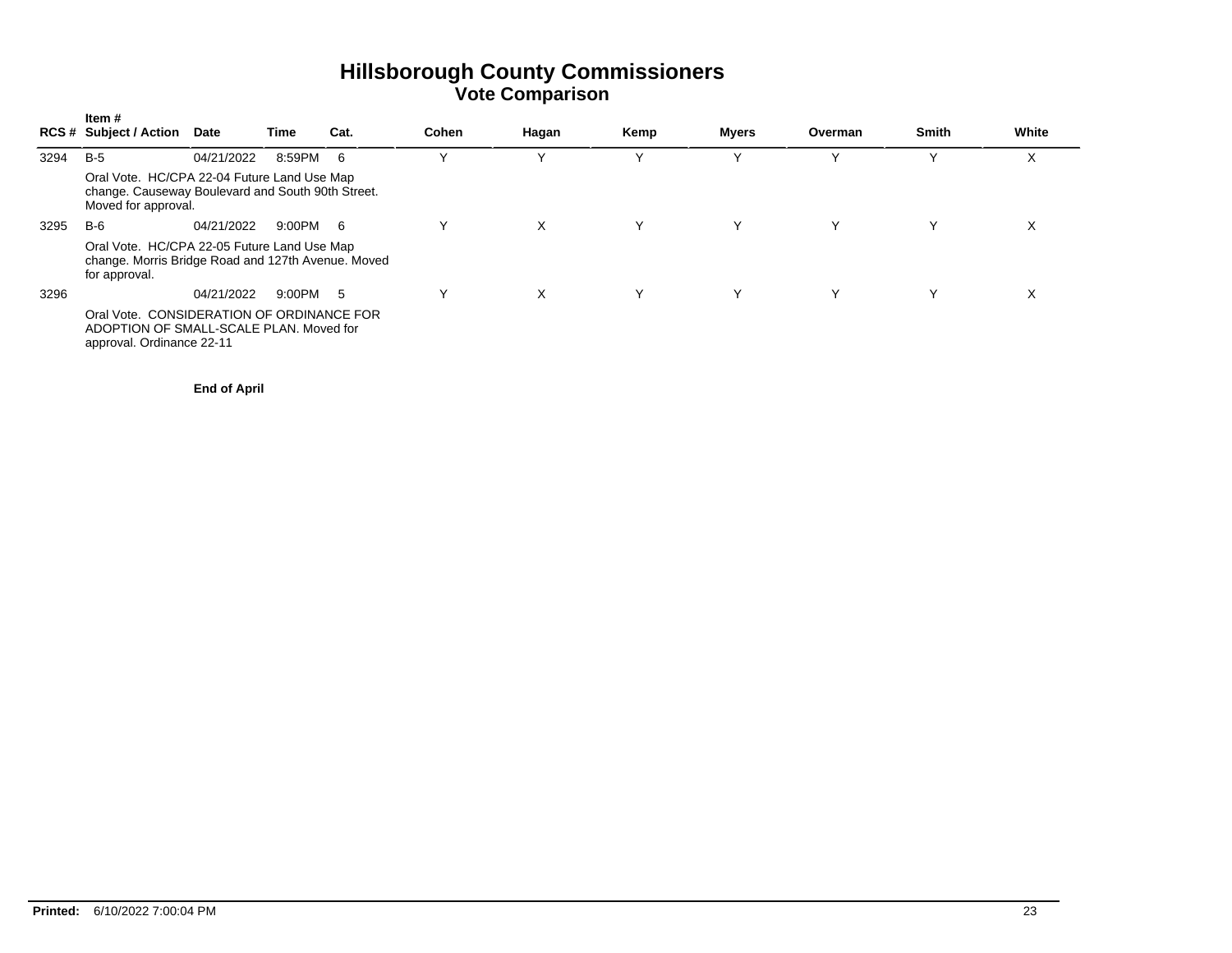|      | Item #<br><b>RCS # Subject / Action</b>                                                                                 | <b>Date</b> | Time     | Cat. | Cohen | Hagan | Kemp | Myers | Overman | <b>Smith</b> | White             |
|------|-------------------------------------------------------------------------------------------------------------------------|-------------|----------|------|-------|-------|------|-------|---------|--------------|-------------------|
| 3294 | $B-5$                                                                                                                   | 04/21/2022  | 8:59PM   | -6   |       |       |      |       |         |              | $\checkmark$<br>v |
|      | Oral Vote. HC/CPA 22-04 Future Land Use Map<br>change. Causeway Boulevard and South 90th Street.<br>Moved for approval. |             |          |      |       |       |      |       |         |              |                   |
| 3295 | B-6                                                                                                                     | 04/21/2022  | 9:00PM 6 |      |       | X     | Υ    | Y     | Υ       |              | X                 |
|      | Oral Vote. HC/CPA 22-05 Future Land Use Map<br>change. Morris Bridge Road and 127th Avenue. Moved<br>for approval.      |             |          |      |       |       |      |       |         |              |                   |
| 3296 |                                                                                                                         | 04/21/2022  | 9:00PM   | 5    | Υ     | X     | Υ    | Υ     | Υ       |              | X                 |
|      | Oral Vote. CONSIDERATION OF ORDINANCE FOR<br>ADOPTION OF SMALL-SCALE PLAN. Moved for<br>approval. Ordinance 22-11       |             |          |      |       |       |      |       |         |              |                   |

**End of April**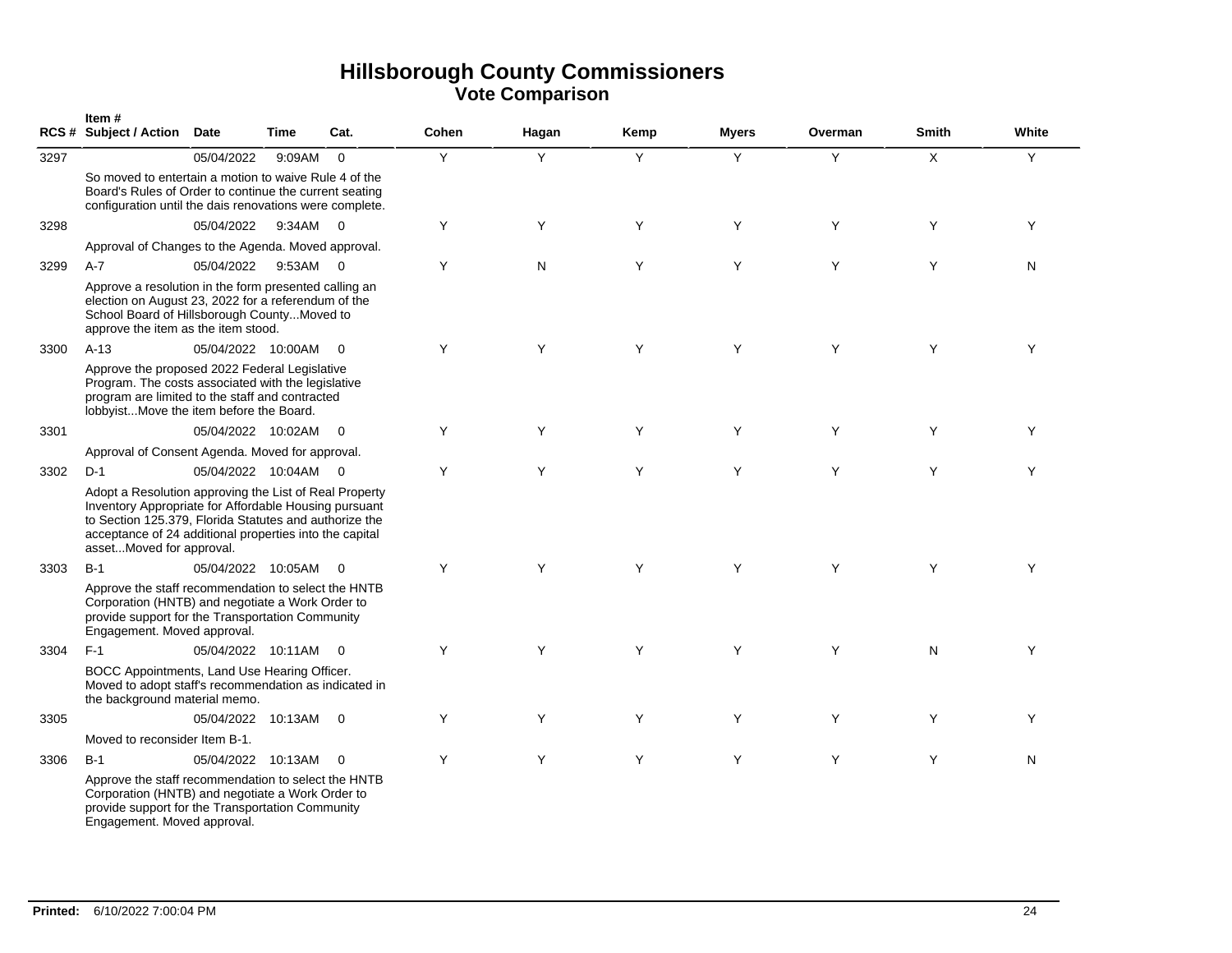|      | Item#<br>RCS# Subject / Action Date                                                                                                                                                                                                                              |                      | Time   | Cat.                     | Cohen | Hagan     | Kemp | <b>Myers</b> | Overman | <b>Smith</b> | White |
|------|------------------------------------------------------------------------------------------------------------------------------------------------------------------------------------------------------------------------------------------------------------------|----------------------|--------|--------------------------|-------|-----------|------|--------------|---------|--------------|-------|
| 3297 |                                                                                                                                                                                                                                                                  | 05/04/2022           | 9:09AM | $\Omega$                 | Y     | Y         | Y    | Y            | Y       | X            | Y     |
|      | So moved to entertain a motion to waive Rule 4 of the<br>Board's Rules of Order to continue the current seating<br>configuration until the dais renovations were complete.                                                                                       |                      |        |                          |       |           |      |              |         |              |       |
| 3298 |                                                                                                                                                                                                                                                                  | 05/04/2022           | 9:34AM | $\overline{0}$           | Y     | Y         | Y    | Y            | Y       | Y            | Y     |
|      | Approval of Changes to the Agenda. Moved approval.                                                                                                                                                                                                               |                      |        |                          |       |           |      |              |         |              |       |
| 3299 | $A-7$                                                                                                                                                                                                                                                            | 05/04/2022           | 9:53AM | $\overline{\phantom{0}}$ | Y     | ${\sf N}$ | Y    | Y            | Y       | Y            | Ν     |
|      | Approve a resolution in the form presented calling an<br>election on August 23, 2022 for a referendum of the<br>School Board of Hillsborough CountyMoved to<br>approve the item as the item stood.                                                               |                      |        |                          |       |           |      |              |         |              |       |
| 3300 | $A-13$                                                                                                                                                                                                                                                           | 05/04/2022 10:00AM   |        | $\overline{0}$           | Y     | Y         | Y    | Y            | Y       | Y            | Y     |
|      | Approve the proposed 2022 Federal Legislative<br>Program. The costs associated with the legislative<br>program are limited to the staff and contracted<br>lobbyistMove the item before the Board.                                                                |                      |        |                          |       |           |      |              |         |              |       |
| 3301 |                                                                                                                                                                                                                                                                  | 05/04/2022 10:02AM   |        | $\overline{0}$           | Y     | Y         | Y    | Y            | Y       | Y            | Y     |
|      | Approval of Consent Agenda. Moved for approval.                                                                                                                                                                                                                  |                      |        |                          |       |           |      |              |         |              |       |
| 3302 | $D-1$                                                                                                                                                                                                                                                            | 05/04/2022 10:04AM 0 |        |                          | Y     | Y         | Y    | Y            | Y       | Y            | Y     |
|      | Adopt a Resolution approving the List of Real Property<br>Inventory Appropriate for Affordable Housing pursuant<br>to Section 125.379, Florida Statutes and authorize the<br>acceptance of 24 additional properties into the capital<br>assetMoved for approval. |                      |        |                          |       |           |      |              |         |              |       |
| 3303 | $B-1$                                                                                                                                                                                                                                                            | 05/04/2022 10:05AM   |        | $\Omega$                 | Y     | Y         | Y    | Y            | Y       | Y            | Y     |
|      | Approve the staff recommendation to select the HNTB<br>Corporation (HNTB) and negotiate a Work Order to<br>provide support for the Transportation Community<br>Engagement. Moved approval.                                                                       |                      |        |                          |       |           |      |              |         |              |       |
| 3304 | $F-1$                                                                                                                                                                                                                                                            | 05/04/2022 10:11AM   |        | $\overline{0}$           | Y     | Y         | Y    | Y            | Y       | N            | Y     |
|      | BOCC Appointments, Land Use Hearing Officer.<br>Moved to adopt staff's recommendation as indicated in<br>the background material memo.                                                                                                                           |                      |        |                          |       |           |      |              |         |              |       |
| 3305 |                                                                                                                                                                                                                                                                  | 05/04/2022 10:13AM   |        | $\overline{0}$           | Y     | Y         | Y    | Y            | Y       | Y            | Y     |
|      | Moved to reconsider Item B-1.                                                                                                                                                                                                                                    |                      |        |                          |       |           |      |              |         |              |       |
| 3306 | $B-1$                                                                                                                                                                                                                                                            | 05/04/2022 10:13AM   |        | $\overline{0}$           | Y     | Y         | Y    | Y            | Y       | Y            | N     |
|      | Approve the staff recommendation to select the HNTB<br>Corporation (HNTB) and negotiate a Work Order to<br>provide support for the Transportation Community<br>Engagement. Moved approval.                                                                       |                      |        |                          |       |           |      |              |         |              |       |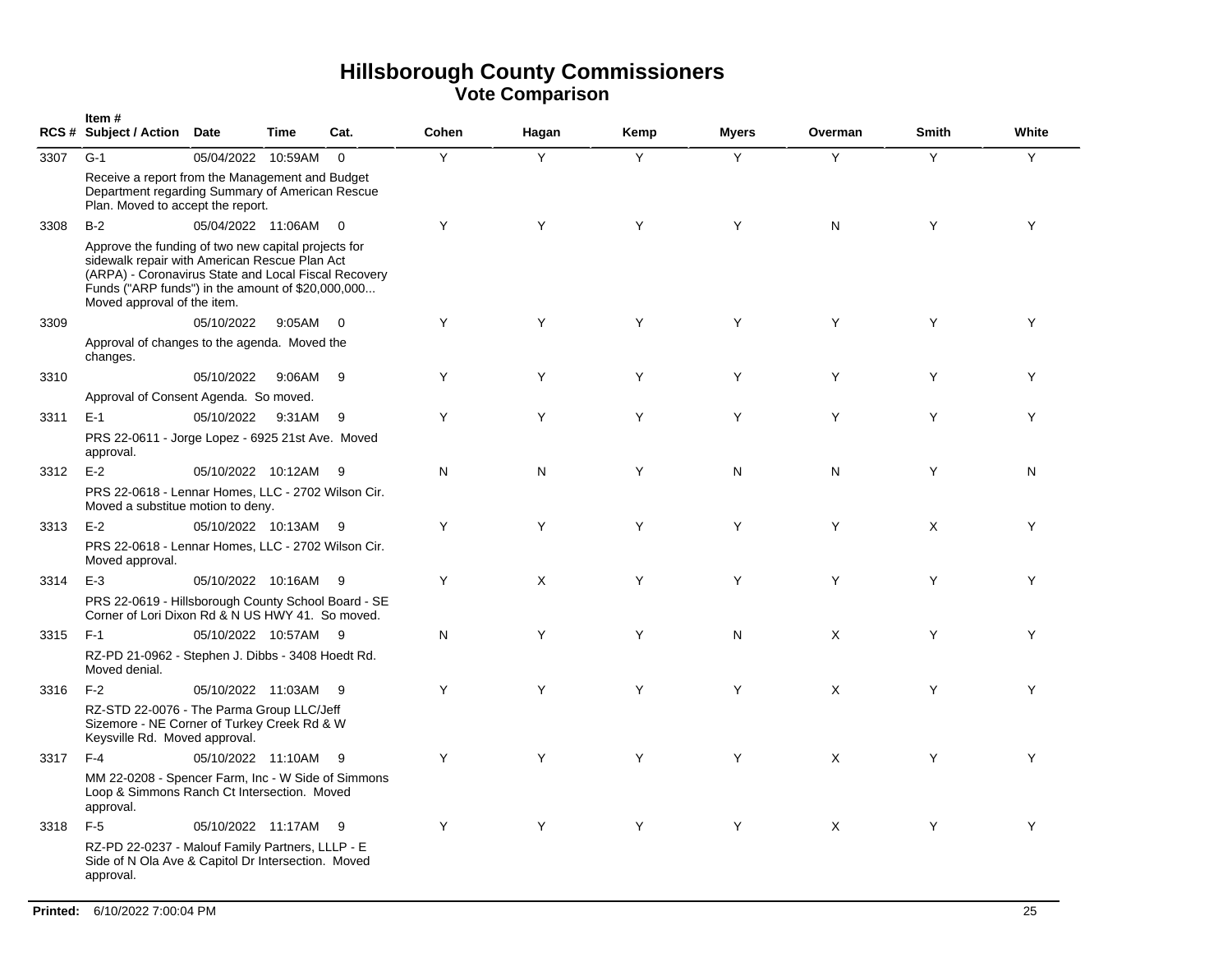|      | Item#<br>RCS # Subject / Action Date                                                                                                                                                                                                             |                    | Time   | Cat.           | Cohen | Hagan | Kemp | <b>Myers</b> | Overman      | <b>Smith</b> | White |  |
|------|--------------------------------------------------------------------------------------------------------------------------------------------------------------------------------------------------------------------------------------------------|--------------------|--------|----------------|-------|-------|------|--------------|--------------|--------------|-------|--|
| 3307 | $G-1$                                                                                                                                                                                                                                            | 05/04/2022 10:59AM |        | $\mathbf 0$    | Y     | Y     | Y    | Y            | Y            | Y            | Y     |  |
|      | Receive a report from the Management and Budget<br>Department regarding Summary of American Rescue<br>Plan. Moved to accept the report.                                                                                                          |                    |        |                |       |       |      |              |              |              |       |  |
| 3308 | $B-2$                                                                                                                                                                                                                                            | 05/04/2022 11:06AM |        | $\overline{0}$ | Y     | Y     | Y    | Y            | $\mathsf{N}$ | Y            | Y     |  |
|      | Approve the funding of two new capital projects for<br>sidewalk repair with American Rescue Plan Act<br>(ARPA) - Coronavirus State and Local Fiscal Recovery<br>Funds ("ARP funds") in the amount of \$20,000,000<br>Moved approval of the item. |                    |        |                |       |       |      |              |              |              |       |  |
| 3309 |                                                                                                                                                                                                                                                  | 05/10/2022         | 9:05AM | $\Omega$       | Y     | Y     | Y    | Y            | Y            | Y            | Y     |  |
|      | Approval of changes to the agenda. Moved the<br>changes.                                                                                                                                                                                         |                    |        |                |       |       |      |              |              |              |       |  |
| 3310 |                                                                                                                                                                                                                                                  | 05/10/2022         | 9:06AM | - 9            | Y     | Y     | Y    | Y            | Y            | Y            | Y     |  |
|      | Approval of Consent Agenda. So moved.                                                                                                                                                                                                            |                    |        |                |       |       |      |              |              |              |       |  |
| 3311 | $E-1$                                                                                                                                                                                                                                            | 05/10/2022         | 9:31AM | 9              | Y     | Y     | Y    | Y            | Y            | Y            | Y     |  |
|      | PRS 22-0611 - Jorge Lopez - 6925 21st Ave. Moved<br>approval.                                                                                                                                                                                    |                    |        |                |       |       |      |              |              |              |       |  |
| 3312 | $E-2$                                                                                                                                                                                                                                            | 05/10/2022 10:12AM |        | - 9            | N     | N     | Y    | N            | N            | Y            | N     |  |
|      | PRS 22-0618 - Lennar Homes, LLC - 2702 Wilson Cir.<br>Moved a substitue motion to deny.                                                                                                                                                          |                    |        |                |       |       |      |              |              |              |       |  |
| 3313 | $E-2$                                                                                                                                                                                                                                            | 05/10/2022 10:13AM |        | - 9            | Y     | Y     | Y    | Y            | Y            | X            | Y     |  |
|      | PRS 22-0618 - Lennar Homes, LLC - 2702 Wilson Cir.<br>Moved approval.                                                                                                                                                                            |                    |        |                |       |       |      |              |              |              |       |  |
| 3314 | $E-3$                                                                                                                                                                                                                                            | 05/10/2022 10:16AM |        | -9             | Y     | Χ     | Y    | Y            | Y            | Y            | Y     |  |
|      | PRS 22-0619 - Hillsborough County School Board - SE<br>Corner of Lori Dixon Rd & N US HWY 41. So moved.                                                                                                                                          |                    |        |                |       |       |      |              |              |              |       |  |
| 3315 | $F-1$                                                                                                                                                                                                                                            | 05/10/2022 10:57AM |        | - 9            | N     | Y     | Y    | N            | X            | Y            | Y     |  |
|      | RZ-PD 21-0962 - Stephen J. Dibbs - 3408 Hoedt Rd.<br>Moved denial.                                                                                                                                                                               |                    |        |                |       |       |      |              |              |              |       |  |
| 3316 | $F-2$                                                                                                                                                                                                                                            | 05/10/2022 11:03AM |        | - 9            | Y     | Y     | Y    | Y            | X            | Y            | Υ     |  |
|      | RZ-STD 22-0076 - The Parma Group LLC/Jeff<br>Sizemore - NE Corner of Turkey Creek Rd & W<br>Keysville Rd. Moved approval.                                                                                                                        |                    |        |                |       |       |      |              |              |              |       |  |
| 3317 | $F-4$                                                                                                                                                                                                                                            | 05/10/2022 11:10AM |        | - 9            | Y     | Y     | Y    | Y            | X            | Y            | Y     |  |
|      | MM 22-0208 - Spencer Farm, Inc - W Side of Simmons<br>Loop & Simmons Ranch Ct Intersection. Moved<br>approval.                                                                                                                                   |                    |        |                |       |       |      |              |              |              |       |  |
| 3318 | $F-5$                                                                                                                                                                                                                                            | 05/10/2022 11:17AM |        | - 9            | Y     | Y     | Y    | Y            | X            | Y            | Y     |  |
|      | RZ-PD 22-0237 - Malouf Family Partners, LLLP - E<br>Side of N Ola Ave & Capitol Dr Intersection. Moved<br>approval.                                                                                                                              |                    |        |                |       |       |      |              |              |              |       |  |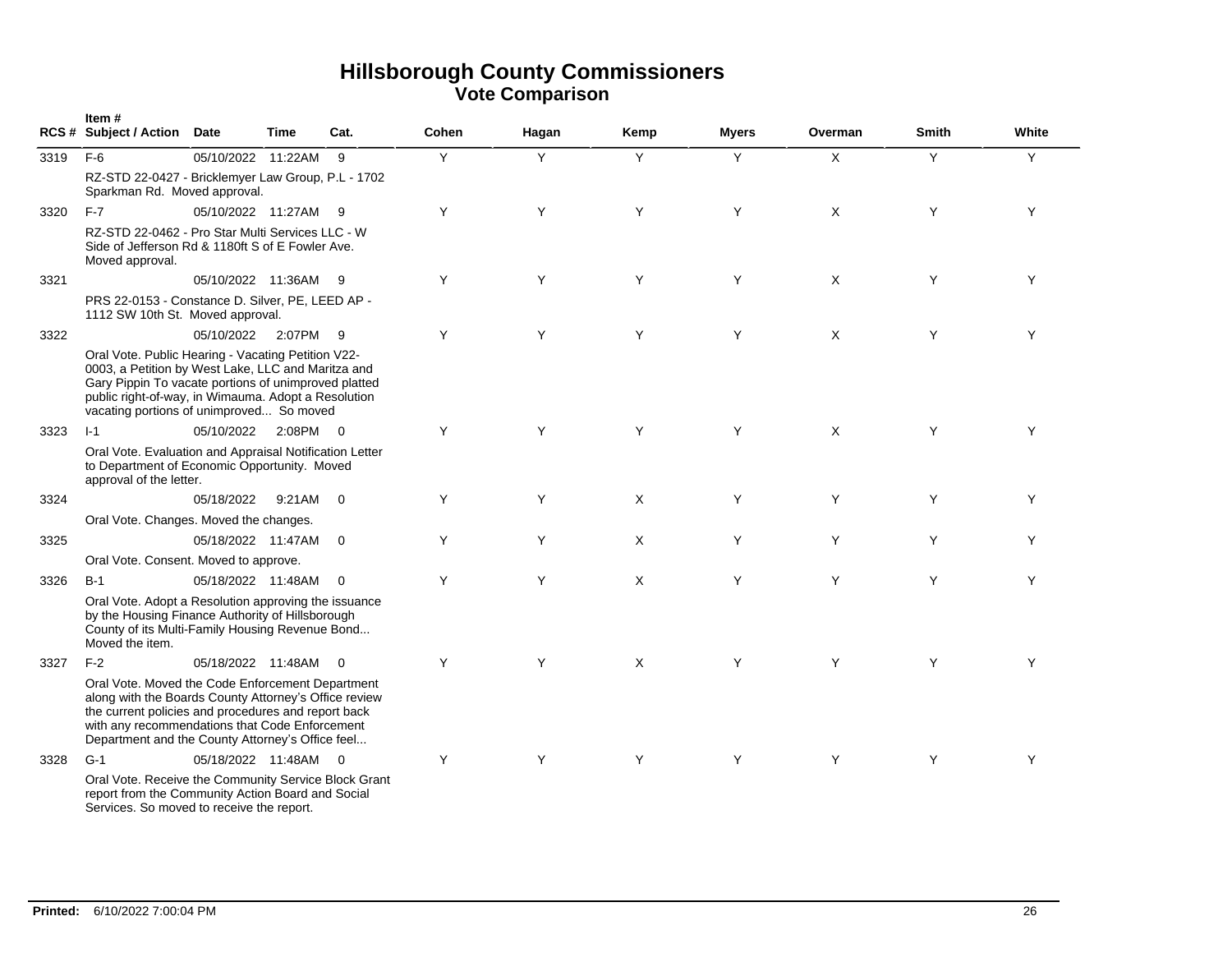|      | Item#<br><b>RCS # Subject / Action</b>                                                                                                                                                                                                                                 | Date               | Time   | Cat.                     | Cohen | Hagan | Kemp | <b>Myers</b> | Overman | <b>Smith</b> | White |
|------|------------------------------------------------------------------------------------------------------------------------------------------------------------------------------------------------------------------------------------------------------------------------|--------------------|--------|--------------------------|-------|-------|------|--------------|---------|--------------|-------|
| 3319 | $F-6$                                                                                                                                                                                                                                                                  | 05/10/2022 11:22AM |        | 9                        | Y     | Y     | Y    | Y            | X       | Y            | Y     |
|      | RZ-STD 22-0427 - Bricklemyer Law Group, P.L - 1702<br>Sparkman Rd. Moved approval.                                                                                                                                                                                     |                    |        |                          |       |       |      |              |         |              |       |
| 3320 | $F-7$                                                                                                                                                                                                                                                                  | 05/10/2022 11:27AM |        | - 9                      | Y     | Y     | Y    | Y            | X       | Y            | Y     |
|      | RZ-STD 22-0462 - Pro Star Multi Services LLC - W<br>Side of Jefferson Rd & 1180ft S of E Fowler Ave.<br>Moved approval.                                                                                                                                                |                    |        |                          |       |       |      |              |         |              |       |
| 3321 |                                                                                                                                                                                                                                                                        | 05/10/2022 11:36AM |        | - 9                      | Y     | Y     | Y    | Y            | X       | Y            | Y     |
|      | PRS 22-0153 - Constance D. Silver, PE, LEED AP -<br>1112 SW 10th St. Moved approval.                                                                                                                                                                                   |                    |        |                          |       |       |      |              |         |              |       |
| 3322 |                                                                                                                                                                                                                                                                        | 05/10/2022         | 2:07PM | - 9                      | Y     | Y     | Y    | Y            | X       | Y            | Y     |
|      | Oral Vote. Public Hearing - Vacating Petition V22-<br>0003, a Petition by West Lake, LLC and Maritza and<br>Gary Pippin To vacate portions of unimproved platted<br>public right-of-way, in Wimauma. Adopt a Resolution<br>vacating portions of unimproved So moved    |                    |        |                          |       |       |      |              |         |              |       |
| 3323 | $1 - 1$                                                                                                                                                                                                                                                                | 05/10/2022         | 2:08PM | $\overline{\phantom{0}}$ | Y     | Y     | Y    | Y            | X       | Y            | Y     |
|      | Oral Vote. Evaluation and Appraisal Notification Letter<br>to Department of Economic Opportunity. Moved<br>approval of the letter.                                                                                                                                     |                    |        |                          |       |       |      |              |         |              |       |
| 3324 |                                                                                                                                                                                                                                                                        | 05/18/2022         | 9:21AM | $\overline{0}$           | Y     | Y     | X    | Y            | Y       | Y            | Y     |
|      | Oral Vote. Changes. Moved the changes.                                                                                                                                                                                                                                 |                    |        |                          |       |       |      |              |         |              |       |
| 3325 |                                                                                                                                                                                                                                                                        | 05/18/2022 11:47AM |        | $\overline{0}$           | Y     | Υ     | X    | Υ            | Y       | Y            | Y     |
|      | Oral Vote. Consent. Moved to approve.                                                                                                                                                                                                                                  |                    |        |                          |       |       |      |              |         |              |       |
| 3326 | $B-1$                                                                                                                                                                                                                                                                  | 05/18/2022 11:48AM |        | $\overline{0}$           | Y     | Y     | X    | Y            | Y       | Y            | Y     |
|      | Oral Vote. Adopt a Resolution approving the issuance<br>by the Housing Finance Authority of Hillsborough<br>County of its Multi-Family Housing Revenue Bond<br>Moved the item.                                                                                         |                    |        |                          |       |       |      |              |         |              |       |
| 3327 | $F-2$                                                                                                                                                                                                                                                                  | 05/18/2022 11:48AM |        | $\overline{0}$           | Y     | Y     | X    | Y            | Y       | Y            | Y     |
|      | Oral Vote. Moved the Code Enforcement Department<br>along with the Boards County Attorney's Office review<br>the current policies and procedures and report back<br>with any recommendations that Code Enforcement<br>Department and the County Attorney's Office feel |                    |        |                          |       |       |      |              |         |              |       |
| 3328 | $G-1$                                                                                                                                                                                                                                                                  | 05/18/2022 11:48AM |        | $\overline{0}$           | Y     | Y     | Y    | Y            | Y       | Y            | Y     |
|      | Oral Vote. Receive the Community Service Block Grant<br>report from the Community Action Board and Social<br>Services. So moved to receive the report.                                                                                                                 |                    |        |                          |       |       |      |              |         |              |       |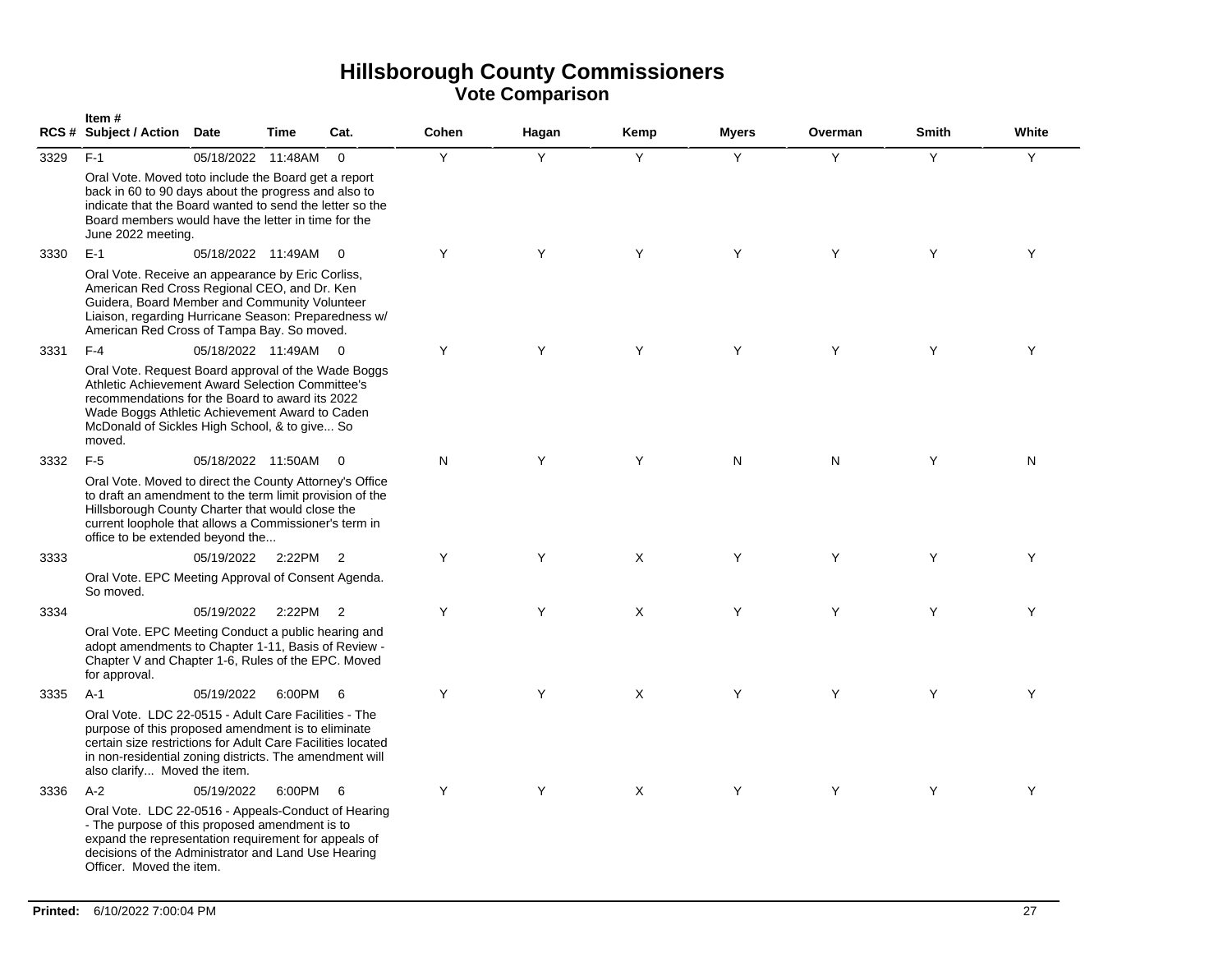|      | Item#<br><b>RCS # Subject / Action</b>                                                                                                                                                                                                                                  | <b>Date</b>        | <b>Time</b> | Cat.                    | Cohen | Hagan | Kemp     | <b>Myers</b> | Overman      | <b>Smith</b> | White |
|------|-------------------------------------------------------------------------------------------------------------------------------------------------------------------------------------------------------------------------------------------------------------------------|--------------------|-------------|-------------------------|-------|-------|----------|--------------|--------------|--------------|-------|
| 3329 | $F-1$                                                                                                                                                                                                                                                                   | 05/18/2022 11:48AM |             | $\Omega$                | Y     | Y     | Y        | Y            | Y            | Y            | Y     |
|      | Oral Vote. Moved toto include the Board get a report<br>back in 60 to 90 days about the progress and also to<br>indicate that the Board wanted to send the letter so the<br>Board members would have the letter in time for the<br>June 2022 meeting.                   |                    |             |                         |       |       |          |              |              |              |       |
| 3330 | $E-1$                                                                                                                                                                                                                                                                   | 05/18/2022 11:49AM |             | $\overline{0}$          | Y     | Y     | Y        | Y            | Y            | Y            | Y     |
|      | Oral Vote. Receive an appearance by Eric Corliss,<br>American Red Cross Regional CEO, and Dr. Ken<br>Guidera, Board Member and Community Volunteer<br>Liaison, regarding Hurricane Season: Preparedness w/<br>American Red Cross of Tampa Bay. So moved.                |                    |             |                         |       |       |          |              |              |              |       |
| 3331 | $F-4$                                                                                                                                                                                                                                                                   | 05/18/2022 11:49AM |             | $\overline{0}$          | Y     | Y     | Y        | Y            | Y            | Y            | Y     |
|      | Oral Vote. Request Board approval of the Wade Boggs<br>Athletic Achievement Award Selection Committee's<br>recommendations for the Board to award its 2022<br>Wade Boggs Athletic Achievement Award to Caden<br>McDonald of Sickles High School, & to give So<br>moved. |                    |             |                         |       |       |          |              |              |              |       |
| 3332 | $F-5$                                                                                                                                                                                                                                                                   | 05/18/2022 11:50AM |             | $\overline{\mathbf{0}}$ | N     | Y     | Y        | N            | $\mathsf{N}$ | Y            | N     |
|      | Oral Vote. Moved to direct the County Attorney's Office<br>to draft an amendment to the term limit provision of the<br>Hillsborough County Charter that would close the<br>current loophole that allows a Commissioner's term in<br>office to be extended beyond the    |                    |             |                         |       |       |          |              |              |              |       |
| 3333 |                                                                                                                                                                                                                                                                         | 05/19/2022         | 2:22PM      | $\overline{2}$          | Y     | Y     | X        | Y            | Y            | Y            | Υ     |
|      | Oral Vote. EPC Meeting Approval of Consent Agenda.<br>So moved.                                                                                                                                                                                                         |                    |             |                         |       |       |          |              |              |              |       |
| 3334 |                                                                                                                                                                                                                                                                         | 05/19/2022         | 2:22PM      | $\overline{2}$          | Y     | Y     | X        | Y            | Y            | Y            | Y     |
|      | Oral Vote. EPC Meeting Conduct a public hearing and<br>adopt amendments to Chapter 1-11, Basis of Review -<br>Chapter V and Chapter 1-6, Rules of the EPC. Moved<br>for approval.                                                                                       |                    |             |                         |       |       |          |              |              |              |       |
| 3335 | $A-1$                                                                                                                                                                                                                                                                   | 05/19/2022         | 6:00PM      | - 6                     | Y     | Y     | $\times$ | Y            | Y            | Y            | Y     |
|      | Oral Vote. LDC 22-0515 - Adult Care Facilities - The<br>purpose of this proposed amendment is to eliminate<br>certain size restrictions for Adult Care Facilities located<br>in non-residential zoning districts. The amendment will<br>also clarify Moved the item.    |                    |             |                         |       |       |          |              |              |              |       |
| 3336 | $A-2$                                                                                                                                                                                                                                                                   | 05/19/2022         | 6:00PM      | - 6                     | Y     | Y     | X        | Y            | Y            | Y            | Y     |
|      | Oral Vote. LDC 22-0516 - Appeals-Conduct of Hearing<br>- The purpose of this proposed amendment is to<br>expand the representation requirement for appeals of<br>decisions of the Administrator and Land Use Hearing<br>Officer. Moved the item.                        |                    |             |                         |       |       |          |              |              |              |       |